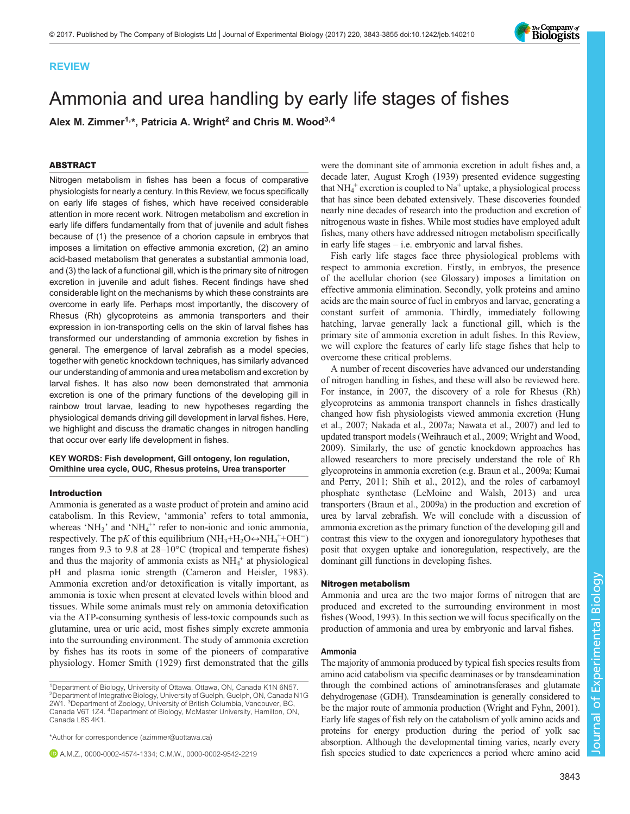

# Ammonia and urea handling by early life stages of fishes

Alex M. Zimmer<sup>1,\*</sup>, Patricia A. Wright<sup>2</sup> and Chris M. Wood<sup>3,4</sup>

# ABSTRACT

Nitrogen metabolism in fishes has been a focus of comparative physiologists for nearly a century. In this Review, we focus specifically on early life stages of fishes, which have received considerable attention in more recent work. Nitrogen metabolism and excretion in early life differs fundamentally from that of juvenile and adult fishes because of (1) the presence of a chorion capsule in embryos that imposes a limitation on effective ammonia excretion, (2) an amino acid-based metabolism that generates a substantial ammonia load, and (3) the lack of a functional gill, which is the primary site of nitrogen excretion in juvenile and adult fishes. Recent findings have shed considerable light on the mechanisms by which these constraints are overcome in early life. Perhaps most importantly, the discovery of Rhesus (Rh) glycoproteins as ammonia transporters and their expression in ion-transporting cells on the skin of larval fishes has transformed our understanding of ammonia excretion by fishes in general. The emergence of larval zebrafish as a model species, together with genetic knockdown techniques, has similarly advanced our understanding of ammonia and urea metabolism and excretion by larval fishes. It has also now been demonstrated that ammonia excretion is one of the primary functions of the developing gill in rainbow trout larvae, leading to new hypotheses regarding the physiological demands driving gill development in larval fishes. Here, we highlight and discuss the dramatic changes in nitrogen handling that occur over early life development in fishes.

KEY WORDS: Fish development, Gill ontogeny, Ion regulation, Ornithine urea cycle, OUC, Rhesus proteins, Urea transporter

## Introduction

Ammonia is generated as a waste product of protein and amino acid catabolism. In this Review, 'ammonia' refers to total ammonia, whereas 'NH<sub>3</sub>' and 'NH<sub>4</sub><sup>+</sup>' refer to non-ionic and ionic ammonia, respectively. The pK of this equilibrium  $(NH_3 + H_2O \rightarrow NH_4^+ + OH^-)$ ranges from 9.3 to 9.8 at 28–10°C (tropical and temperate fishes) and thus the majority of ammonia exists as  $NH<sub>4</sub><sup>+</sup>$  at physiological pH and plasma ionic strength ([Cameron and Heisler, 1983\)](#page-10-0). Ammonia excretion and/or detoxification is vitally important, as ammonia is toxic when present at elevated levels within blood and tissues. While some animals must rely on ammonia detoxification via the ATP-consuming synthesis of less-toxic compounds such as glutamine, urea or uric acid, most fishes simply excrete ammonia into the surrounding environment. The study of ammonia excretion by fishes has its roots in some of the pioneers of comparative physiology. [Homer Smith \(1929\)](#page-11-0) first demonstrated that the gills

A.M.Z., [0000-0002-4574-1334](http://orcid.org/0000-0002-4574-1334); C.M.W., [0000-0002-9542-2219](http://orcid.org/0000-0002-9542-2219)

were the dominant site of ammonia excretion in adult fishes and, a decade later, [August Krogh \(1939\)](#page-10-0) presented evidence suggesting that  $NH_4^+$  excretion is coupled to  $Na^+$  uptake, a physiological process that has since been debated extensively. These discoveries founded nearly nine decades of research into the production and excretion of nitrogenous waste in fishes. While most studies have employed adult fishes, many others have addressed nitrogen metabolism specifically in early life stages – i.e. embryonic and larval fishes.

Fish early life stages face three physiological problems with respect to ammonia excretion. Firstly, in embryos, the presence of the acellular chorion (see Glossary) imposes a limitation on effective ammonia elimination. Secondly, yolk proteins and amino acids are the main source of fuel in embryos and larvae, generating a constant surfeit of ammonia. Thirdly, immediately following hatching, larvae generally lack a functional gill, which is the primary site of ammonia excretion in adult fishes. In this Review, we will explore the features of early life stage fishes that help to overcome these critical problems.

A number of recent discoveries have advanced our understanding of nitrogen handling in fishes, and these will also be reviewed here. For instance, in 2007, the discovery of a role for Rhesus (Rh) glycoproteins as ammonia transport channels in fishes drastically changed how fish physiologists viewed ammonia excretion [\(Hung](#page-10-0) [et al., 2007](#page-10-0); [Nakada et al., 2007a](#page-11-0); [Nawata et al., 2007](#page-11-0)) and led to updated transport models [\(Weihrauch et al., 2009](#page-11-0); [Wright and Wood,](#page-12-0) [2009\)](#page-12-0). Similarly, the use of genetic knockdown approaches has allowed researchers to more precisely understand the role of Rh glycoproteins in ammonia excretion (e.g. [Braun et al., 2009a;](#page-9-0) [Kumai](#page-10-0) [and Perry, 2011;](#page-10-0) [Shih et al., 2012\)](#page-11-0), and the roles of carbamoyl phosphate synthetase ([LeMoine and Walsh, 2013\)](#page-10-0) and urea transporters ([Braun et al., 2009a\)](#page-9-0) in the production and excretion of urea by larval zebrafish. We will conclude with a discussion of ammonia excretion as the primary function of the developing gill and contrast this view to the oxygen and ionoregulatory hypotheses that posit that oxygen uptake and ionoregulation, respectively, are the dominant gill functions in developing fishes.

#### Nitrogen metabolism

Ammonia and urea are the two major forms of nitrogen that are produced and excreted to the surrounding environment in most fishes ([Wood, 1993\)](#page-12-0). In this section we will focus specifically on the production of ammonia and urea by embryonic and larval fishes.

# Ammonia

The majority of ammonia produced by typical fish species results from amino acid catabolism via specific deaminases or by transdeamination through the combined actions of aminotransferases and glutamate dehydrogenase (GDH). Transdeamination is generally considered to be the major route of ammonia production ([Wright and Fyhn, 2001\)](#page-12-0). Early life stages of fish rely on the catabolism of yolk amino acids and proteins for energy production during the period of yolk sac absorption. Although the developmental timing varies, nearly every fish species studied to date experiences a period where amino acid



<sup>&</sup>lt;sup>1</sup>Department of Biology, University of Ottawa, Ottawa, ON, Canada K1N 6N57. 2 Department of Integrative Biology, University of Guelph, Guelph, ON, Canada N1G 2W1. <sup>3</sup> Department of Zoology, University of British Columbia, Vancouver, BC, Canada V6T 1Z4. 4Department of Biology, McMaster University, Hamilton, ON, Canada L8S 4K1.

<sup>\*</sup>Author for correspondence [\(azimmer@uottawa.ca](mailto:azimmer@uottawa.ca))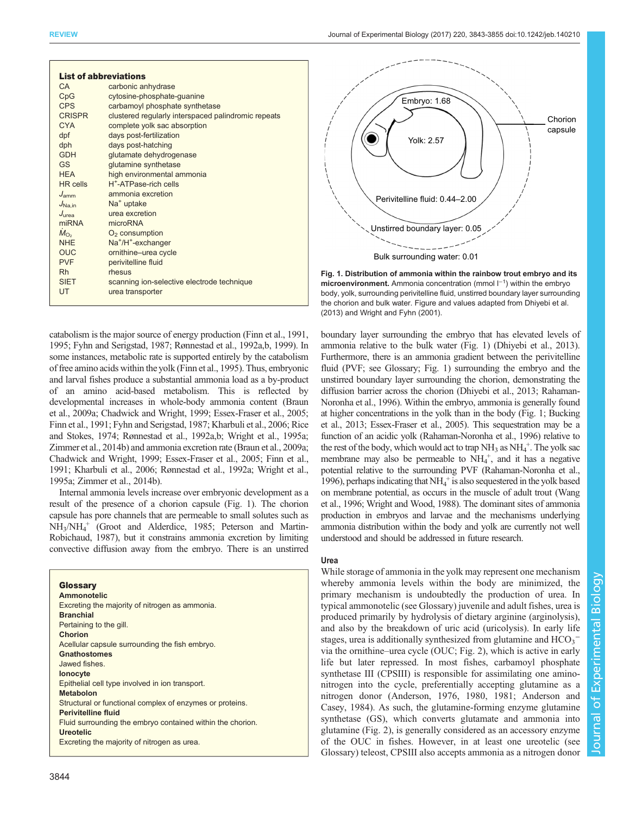|                                            | <b>List of abbreviations</b>                        |  |  |  |
|--------------------------------------------|-----------------------------------------------------|--|--|--|
| CA                                         | carbonic anhydrase                                  |  |  |  |
| CpG                                        | cytosine-phosphate-guanine                          |  |  |  |
| CPS                                        | carbamoyl phosphate synthetase                      |  |  |  |
| <b>CRISPR</b>                              | clustered regularly interspaced palindromic repeats |  |  |  |
| <b>CYA</b>                                 | complete yolk sac absorption                        |  |  |  |
| dpf                                        | days post-fertilization                             |  |  |  |
| dph                                        | days post-hatching                                  |  |  |  |
| <b>GDH</b>                                 | glutamate dehydrogenase                             |  |  |  |
| GS.                                        | glutamine synthetase                                |  |  |  |
| <b>HFA</b>                                 | high environmental ammonia                          |  |  |  |
| <b>HR</b> cells                            | H <sup>+</sup> -ATPase-rich cells                   |  |  |  |
| $J_{\rm amm}$                              | ammonia excretion                                   |  |  |  |
| $J_{\text{Na.in}}$                         | Na <sup>+</sup> uptake                              |  |  |  |
| $J_{\text{II} \text{r} \text{r} \text{r}}$ | urea excretion                                      |  |  |  |
| miRNA                                      | microRNA                                            |  |  |  |
| $\dot{M}_{\Omega_{2}}$                     | $O2$ consumption                                    |  |  |  |
| <b>NHF</b>                                 | Na <sup>+</sup> /H <sup>+</sup> -exchanger          |  |  |  |
| <b>OUC</b>                                 | ornithine-urea cycle                                |  |  |  |
| <b>PVF</b>                                 | perivitelline fluid                                 |  |  |  |
| Rh.                                        | rhesus                                              |  |  |  |
| <b>SIFT</b>                                | scanning ion-selective electrode technique          |  |  |  |
| UT                                         | urea transporter                                    |  |  |  |
|                                            |                                                     |  |  |  |

catabolism is the major source of energy production [\(Finn et al., 1991,](#page-10-0) [1995](#page-10-0); [Fyhn and Serigstad, 1987;](#page-10-0) [Rønnestad et al., 1992a,b, 1999\)](#page-11-0). In some instances, metabolic rate is supported entirely by the catabolism of free amino acids within the yolk [\(Finn et al., 1995](#page-10-0)). Thus, embryonic and larval fishes produce a substantial ammonia load as a by-product of an amino acid-based metabolism. This is reflected by developmental increases in whole-body ammonia content [\(Braun](#page-9-0) [et al., 2009a](#page-9-0); [Chadwick and Wright, 1999; Essex-Fraser et al., 2005](#page-10-0); [Finn et al., 1991; Fyhn and Serigstad, 1987](#page-10-0); [Kharbuli et al., 2006;](#page-10-0) [Rice](#page-11-0) [and Stokes, 1974](#page-11-0); [Rønnestad et al., 1992a](#page-11-0),[b](#page-11-0); [Wright et al., 1995a](#page-12-0); [Zimmer et al., 2014b\)](#page-12-0) and ammonia excretion rate [\(Braun et al., 2009a](#page-9-0); [Chadwick and Wright, 1999; Essex-Fraser et al., 2005; Finn et al.,](#page-10-0) [1991](#page-10-0); [Kharbuli et al., 2006](#page-10-0); [Rønnestad et al., 1992a](#page-11-0); [Wright et al.,](#page-12-0) [1995a](#page-12-0); [Zimmer et al., 2014b\)](#page-12-0).

Internal ammonia levels increase over embryonic development as a result of the presence of a chorion capsule (Fig. 1). The chorion capsule has pore channels that are permeable to small solutes such as NH3/NH4 <sup>+</sup> ([Groot and Alderdice, 1985](#page-10-0); [Peterson and Martin-](#page-11-0)[Robichaud, 1987\)](#page-11-0), but it constrains ammonia excretion by limiting convective diffusion away from the embryo. There is an unstirred

#### **Glossary** Ammonotelic Excreting the majority of nitrogen as ammonia. **Branchial** Pertaining to the gill. Chorion Acellular capsule surrounding the fish embryo. **Gnathostomes** Jawed fishes. Ionocyte Epithelial cell type involved in ion transport. Metabolon Structural or functional complex of enzymes or proteins. Perivitelline fluid Fluid surrounding the embryo contained within the chorion. Ureotelic Excreting the majority of nitrogen as urea.



Fig. 1. Distribution of ammonia within the rainbow trout embryo and its microenvironment. Ammonia concentration (mmol I<sup>-1</sup>) within the embryo body, yolk, surrounding perivitelline fluid, unstirred boundary layer surrounding the chorion and bulk water. Figure and values adapted from [Dhiyebi et al.](#page-10-0)

[\(2013\)](#page-10-0) and [Wright and Fyhn \(2001\)](#page-12-0).

boundary layer surrounding the embryo that has elevated levels of ammonia relative to the bulk water (Fig. 1) [\(Dhiyebi et al., 2013\)](#page-10-0). Furthermore, there is an ammonia gradient between the perivitelline fluid (PVF; see Glossary; Fig. 1) surrounding the embryo and the unstirred boundary layer surrounding the chorion, demonstrating the diffusion barrier across the chorion [\(Dhiyebi et al., 2013;](#page-10-0) [Rahaman-](#page-11-0)[Noronha et al., 1996\)](#page-11-0). Within the embryo, ammonia is generally found at higher concentrations in the yolk than in the body (Fig. 1; [Bucking](#page-10-0) [et al., 2013](#page-10-0); [Essex-Fraser et al., 2005](#page-10-0)). This sequestration may be a function of an acidic yolk [\(Rahaman-Noronha et al., 1996\)](#page-11-0) relative to the rest of the body, which would act to trap  $NH_3$  as  $NH_4^+$ . The yolk sac membrane may also be permeable to  $NH_4^+$ , and it has a negative potential relative to the surrounding PVF [\(Rahaman-Noronha et al.,](#page-11-0) [1996](#page-11-0)), perhaps indicating that  $NH_4^+$  is also sequestered in the yolk based on membrane potential, as occurs in the muscle of adult trout [\(Wang](#page-11-0) [et al., 1996;](#page-11-0) [Wright and Wood, 1988](#page-12-0)). The dominant sites of ammonia production in embryos and larvae and the mechanisms underlying ammonia distribution within the body and yolk are currently not well understood and should be addressed in future research.

# Urea

While storage of ammonia in the yolk may represent one mechanism whereby ammonia levels within the body are minimized, the primary mechanism is undoubtedly the production of urea. In typical ammonotelic (see Glossary) juvenile and adult fishes, urea is produced primarily by hydrolysis of dietary arginine (arginolysis), and also by the breakdown of uric acid (uricolysis). In early life stages, urea is additionally synthesized from glutamine and  $HCO_3^$ via the ornithine–urea cycle (OUC; [Fig. 2](#page-2-0)), which is active in early life but later repressed. In most fishes, carbamoyl phosphate synthetase III (CPSIII) is responsible for assimilating one aminonitrogen into the cycle, preferentially accepting glutamine as a nitrogen donor [\(Anderson, 1976](#page-9-0), [1980, 1981](#page-9-0); [Anderson and](#page-9-0) [Casey, 1984](#page-9-0)). As such, the glutamine-forming enzyme glutamine synthetase (GS), which converts glutamate and ammonia into glutamine [\(Fig. 2](#page-2-0)), is generally considered as an accessory enzyme of the OUC in fishes. However, in at least one ureotelic (see Glossary) teleost, CPSIII also accepts ammonia as a nitrogen donor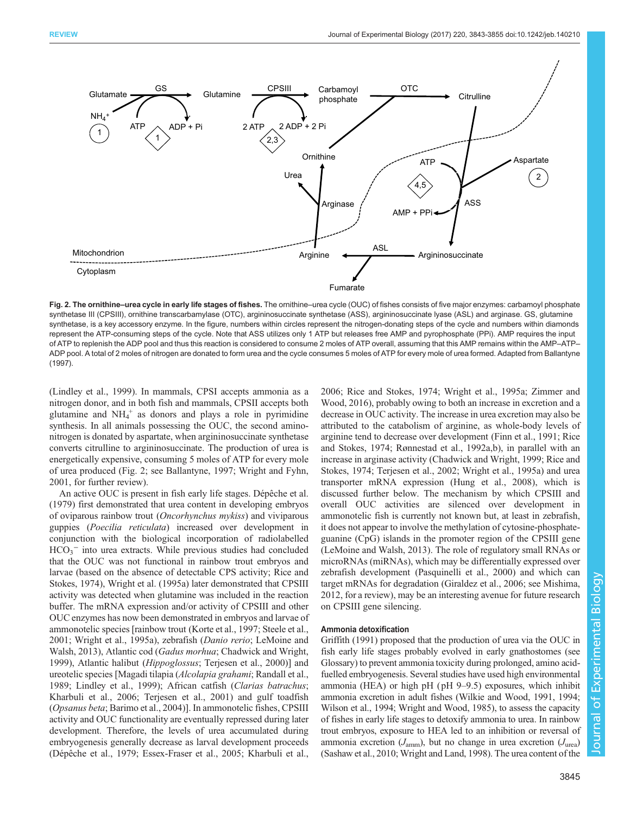<span id="page-2-0"></span>

Fig. 2. The ornithine–urea cycle in early life stages of fishes. The ornithine–urea cycle (OUC) of fishes consists of five major enzymes: carbamoyl phosphate synthetase III (CPSIII), ornithine transcarbamylase (OTC), argininosuccinate synthetase (ASS), argininosuccinate lyase (ASL) and arginase. GS, glutamine synthetase, is a key accessory enzyme. In the figure, numbers within circles represent the nitrogen-donating steps of the cycle and numbers within diamonds represent the ATP-consuming steps of the cycle. Note that ASS utilizes only 1 ATP but releases free AMP and pyrophosphate (PPi). AMP requires the input of ATP to replenish the ADP pool and thus this reaction is considered to consume 2 moles of ATP overall, assuming that this AMP remains within the AMP–ATP– ADP pool. A total of 2 moles of nitrogen are donated to form urea and the cycle consumes 5 moles of ATP for every mole of urea formed. Adapted from [Ballantyne](#page-9-0) [\(1997\)](#page-9-0).

[\(Lindley et al., 1999](#page-10-0)). In mammals, CPSI accepts ammonia as a nitrogen donor, and in both fish and mammals, CPSII accepts both glutamine and  $NH_4^+$  as donors and plays a role in pyrimidine synthesis. In all animals possessing the OUC, the second aminonitrogen is donated by aspartate, when argininosuccinate synthetase converts citrulline to argininosuccinate. The production of urea is energetically expensive, consuming 5 moles of ATP for every mole of urea produced (Fig. 2; see [Ballantyne, 1997;](#page-9-0) [Wright and Fyhn,](#page-12-0) [2001](#page-12-0), for further review).

An active OUC is present in fish early life stages. [Dépêche et al.](#page-10-0) [\(1979\)](#page-10-0) first demonstrated that urea content in developing embryos of oviparous rainbow trout (Oncorhynchus mykiss) and viviparous guppies (Poecilia reticulata) increased over development in conjunction with the biological incorporation of radiolabelled  $HCO<sub>3</sub>$ <sup>-</sup> into urea extracts. While previous studies had concluded that the OUC was not functional in rainbow trout embryos and larvae (based on the absence of detectable CPS activity; [Rice and](#page-11-0) [Stokes, 1974\)](#page-11-0), [Wright et al. \(1995a\)](#page-12-0) later demonstrated that CPSIII activity was detected when glutamine was included in the reaction buffer. The mRNA expression and/or activity of CPSIII and other OUC enzymes has now been demonstrated in embryos and larvae of ammonotelic species [rainbow trout [\(Korte et al., 1997;](#page-10-0) [Steele et al.,](#page-11-0) [2001](#page-11-0); [Wright et al., 1995a](#page-12-0)), zebrafish (Danio rerio; [LeMoine and](#page-10-0) [Walsh, 2013](#page-10-0)), Atlantic cod (Gadus morhua; [Chadwick and Wright,](#page-10-0) [1999](#page-10-0)), Atlantic halibut (Hippoglossus; [Terjesen et al., 2000](#page-11-0))] and ureotelic species [Magadi tilapia (Alcolapia grahami; [Randall et al.,](#page-11-0) [1989](#page-11-0); [Lindley et al., 1999\)](#page-10-0); African catfish (Clarias batrachus; [Kharbuli et al., 2006;](#page-10-0) [Terjesen et al., 2001\)](#page-11-0) and gulf toadfish (Opsanus beta; [Barimo et al., 2004](#page-9-0))]. In ammonotelic fishes, CPSIII activity and OUC functionality are eventually repressed during later development. Therefore, the levels of urea accumulated during embryogenesis generally decrease as larval development proceeds [\(Dépêche et al., 1979](#page-10-0); [Essex-Fraser et al., 2005; Kharbuli et al.,](#page-10-0)

[2006;](#page-10-0) [Rice and Stokes, 1974](#page-11-0); [Wright et al., 1995a](#page-12-0); [Zimmer and](#page-12-0) [Wood, 2016](#page-12-0)), probably owing to both an increase in excretion and a decrease in OUC activity. The increase in urea excretion may also be attributed to the catabolism of arginine, as whole-body levels of arginine tend to decrease over development ([Finn et al., 1991;](#page-10-0) [Rice](#page-11-0) [and Stokes, 1974](#page-11-0); [Rønnestad et al., 1992a,b\)](#page-11-0), in parallel with an increase in arginase activity [\(Chadwick and Wright, 1999](#page-10-0); [Rice and](#page-11-0) [Stokes, 1974](#page-11-0); [Terjesen et al., 2002](#page-11-0); [Wright et al., 1995a\)](#page-12-0) and urea transporter mRNA expression ([Hung et al., 2008](#page-10-0)), which is discussed further below. The mechanism by which CPSIII and overall OUC activities are silenced over development in ammonotelic fish is currently not known but, at least in zebrafish, it does not appear to involve the methylation of cytosine-phosphateguanine (CpG) islands in the promoter region of the CPSIII gene [\(LeMoine and Walsh, 2013](#page-10-0)). The role of regulatory small RNAs or microRNAs (miRNAs), which may be differentially expressed over zebrafish development ([Pasquinelli et al., 2000](#page-11-0)) and which can target mRNAs for degradation [\(Giraldez et al., 2006;](#page-10-0) see [Mishima,](#page-11-0) [2012,](#page-11-0) for a review), may be an interesting avenue for future research on CPSIII gene silencing.

# Ammonia detoxification

[Griffith \(1991\)](#page-10-0) proposed that the production of urea via the OUC in fish early life stages probably evolved in early gnathostomes (see Glossary) to prevent ammonia toxicity during prolonged, amino acidfuelled embryogenesis. Several studies have used high environmental ammonia (HEA) or high pH (pH 9–9.5) exposures, which inhibit ammonia excretion in adult fishes [\(Wilkie and Wood, 1991](#page-12-0), [1994](#page-12-0); [Wilson et al., 1994](#page-12-0); [Wright and Wood, 1985\)](#page-12-0), to assess the capacity of fishes in early life stages to detoxify ammonia to urea. In rainbow trout embryos, exposure to HEA led to an inhibition or reversal of ammonia excretion  $(J_{\text{amm}})$ , but no change in urea excretion  $(J_{\text{urea}})$ [\(Sashaw et al., 2010;](#page-11-0) [Wright and Land, 1998\)](#page-12-0). The urea content of the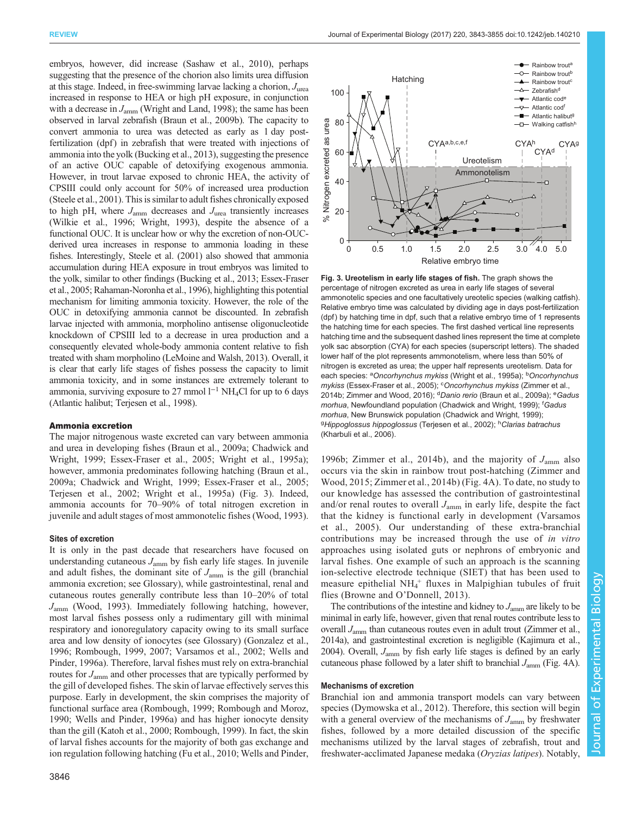<span id="page-3-0"></span>embryos, however, did increase ([Sashaw et al., 2010\)](#page-11-0), perhaps suggesting that the presence of the chorion also limits urea diffusion at this stage. Indeed, in free-swimming larvae lacking a chorion,  $J_{\text{unea}}$ increased in response to HEA or high pH exposure, in conjunction with a decrease in  $J_{\text{amm}}$  [\(Wright and Land, 1998](#page-12-0)); the same has been observed in larval zebrafish ([Braun et al., 2009b](#page-10-0)). The capacity to convert ammonia to urea was detected as early as 1 day postfertilization (dpf) in zebrafish that were treated with injections of ammonia into the yolk [\(Bucking et al., 2013\)](#page-10-0), suggesting the presence of an active OUC capable of detoxifying exogenous ammonia. However, in trout larvae exposed to chronic HEA, the activity of CPSIII could only account for 50% of increased urea production [\(Steele et al., 2001\)](#page-11-0). This is similar to adult fishes chronically exposed to high pH, where  $J_{\text{amm}}$  decreases and  $J_{\text{urea}}$  transiently increases [\(Wilkie et al., 1996; Wright, 1993\)](#page-12-0), despite the absence of a functional OUC. It is unclear how or why the excretion of non-OUCderived urea increases in response to ammonia loading in these fishes. Interestingly, Steele et [al. \(2001\)](#page-11-0) also showed that ammonia accumulation during HEA exposure in trout embryos was limited to the yolk, similar to other findings [\(Bucking et al., 2013; Essex-Fraser](#page-10-0) [et al., 2005](#page-10-0); [Rahaman-Noronha et al.,](#page-11-0) 1996), highlighting this potential mechanism for limiting ammonia toxicity. However, the role of the OUC in detoxifying ammonia cannot be discounted. In zebrafish larvae injected with ammonia, morpholino antisense oligonucleotide knockdown of CPSIII led to a decrease in urea production and a consequently elevated whole-body ammonia content relative to fish treated with sham morpholino ([LeMoine and Walsh, 2013\)](#page-10-0). Overall, it is clear that early life stages of fishes possess the capacity to limit ammonia toxicity, and in some instances are extremely tolerant to ammonia, surviving exposure to 27 mmol  $l^{-1}$  NH<sub>4</sub>Cl for up to 6 days (Atlantic halibut; [Terjesen et al., 1998\)](#page-11-0).

#### Ammonia excretion

The major nitrogenous waste excreted can vary between ammonia and urea in developing fishes [\(Braun et al., 2009a;](#page-9-0) [Chadwick and](#page-10-0) [Wright, 1999](#page-10-0); [Essex-Fraser et al., 2005;](#page-10-0) [Wright et al., 1995a](#page-12-0)); however, ammonia predominates following hatching [\(Braun et al.,](#page-9-0) [2009a](#page-9-0); [Chadwick and Wright, 1999; Essex-Fraser et al., 2005](#page-10-0); [Terjesen et al., 2002](#page-11-0); [Wright et al., 1995a\)](#page-12-0) (Fig. 3). Indeed, ammonia accounts for 70–90% of total nitrogen excretion in juvenile and adult stages of most ammonotelic fishes [\(Wood, 1993\)](#page-12-0).

#### Sites of excretion

It is only in the past decade that researchers have focused on understanding cutaneous  $J_{\text{amm}}$  by fish early life stages. In juvenile and adult fishes, the dominant site of  $J_{\text{amm}}$  is the gill (branchial ammonia excretion; see Glossary), while gastrointestinal, renal and cutaneous routes generally contribute less than 10–20% of total  $J_{\text{amm}}$  [\(Wood, 1993\)](#page-12-0). Immediately following hatching, however, most larval fishes possess only a rudimentary gill with minimal respiratory and ionoregulatory capacity owing to its small surface area and low density of ionocytes (see Glossary) [\(Gonzalez et al.,](#page-10-0) [1996](#page-10-0); [Rombough, 1999, 2007; Varsamos et al., 2002](#page-11-0); [Wells and](#page-11-0) [Pinder, 1996a](#page-11-0)). Therefore, larval fishes must rely on extra-branchial routes for  $J_{\text{amm}}$  and other processes that are typically performed by the gill of developed fishes. The skin of larvae effectively serves this purpose. Early in development, the skin comprises the majority of functional surface area ([Rombough, 1999; Rombough and Moroz,](#page-11-0) [1990](#page-11-0); [Wells and Pinder, 1996a](#page-11-0)) and has higher ionocyte density than the gill ([Katoh et al., 2000](#page-10-0); [Rombough, 1999\)](#page-11-0). In fact, the skin of larval fishes accounts for the majority of both gas exchange and ion regulation following hatching [\(Fu et al., 2010;](#page-10-0) [Wells and Pinder,](#page-11-0)



Fig. 3. Ureotelism in early life stages of fish. The graph shows the percentage of nitrogen excreted as urea in early life stages of several ammonotelic species and one facultatively ureotelic species (walking catfish). Relative embryo time was calculated by dividing age in days post-fertilization (dpf) by hatching time in dpf, such that a relative embryo time of 1 represents the hatching time for each species. The first dashed vertical line represents hatching time and the subsequent dashed lines represent the time at complete yolk sac absorption (CYA) for each species (superscript letters). The shaded lower half of the plot represents ammonotelism, where less than 50% of nitrogen is excreted as urea; the upper half represents ureotelism. Data for each species: <sup>a</sup>Oncorhynchus mykiss [\(Wright et al., 1995a\)](#page-12-0); <sup>b</sup>Oncorhynchus mykiss [\(Essex-Fraser et al., 2005](#page-10-0)); <sup>c</sup>Oncorhynchus mykiss ([Zimmer et al.,](#page-12-0) [2014b; Zimmer and Wood, 2016](#page-12-0)); <sup>d</sup>Danio rerio ([Braun et al., 2009a](#page-9-0)); <sup>e</sup>Gadus morhua, Newfoundland population ([Chadwick and Wright, 1999\)](#page-10-0); <sup>f</sup>Gadus morhua, New Brunswick population [\(Chadwick and Wright, 1999\)](#page-10-0); <sup>g</sup>Hippoglossus hippoglossus [\(Terjesen et al., 2002\)](#page-11-0); <sup>h</sup>Clarias batrachus [\(Kharbuli et al., 2006\)](#page-10-0).

[1996b;](#page-11-0) [Zimmer et al., 2014b](#page-12-0)), and the majority of  $J_{\text{amm}}$  also occurs via the skin in rainbow trout post-hatching ([Zimmer and](#page-12-0) [Wood, 2015](#page-12-0); [Zimmer et al., 2014b](#page-12-0)) [\(Fig. 4A](#page-4-0)). To date, no study to our knowledge has assessed the contribution of gastrointestinal and/or renal routes to overall  $J_{\text{amm}}$  in early life, despite the fact that the kidney is functional early in development [\(Varsamos](#page-11-0) [et al., 2005](#page-11-0)). Our understanding of these extra-branchial contributions may be increased through the use of in vitro approaches using isolated guts or nephrons of embryonic and larval fishes. One example of such an approach is the scanning ion-selective electrode technique (SIET) that has been used to measure epithelial NH<sub>4</sub><sup>+</sup> fluxes in Malpighian tubules of fruit flies (Browne and O'[Donnell, 2013\)](#page-10-0).

The contributions of the intestine and kidney to  $J_{\text{amm}}$  are likely to be minimal in early life, however, given that renal routes contribute less to overall  $J_{\text{amm}}$  than cutaneous routes even in adult trout ([Zimmer et al.,](#page-12-0) [2014a](#page-12-0)), and gastrointestinal excretion is negligible ([Kajimura et al.,](#page-10-0) [2004](#page-10-0)). Overall,  $J_{\text{amm}}$  by fish early life stages is defined by an early cutaneous phase followed by a later shift to branchial  $J_{\text{amm}}$  ([Fig. 4](#page-4-0)A).

## Mechanisms of excretion

Branchial ion and ammonia transport models can vary between species ([Dymowska et al., 2012\)](#page-10-0). Therefore, this section will begin with a general overview of the mechanisms of  $J_{\text{amm}}$  by freshwater fishes, followed by a more detailed discussion of the specific mechanisms utilized by the larval stages of zebrafish, trout and freshwater-acclimated Japanese medaka (Oryzias latipes). Notably,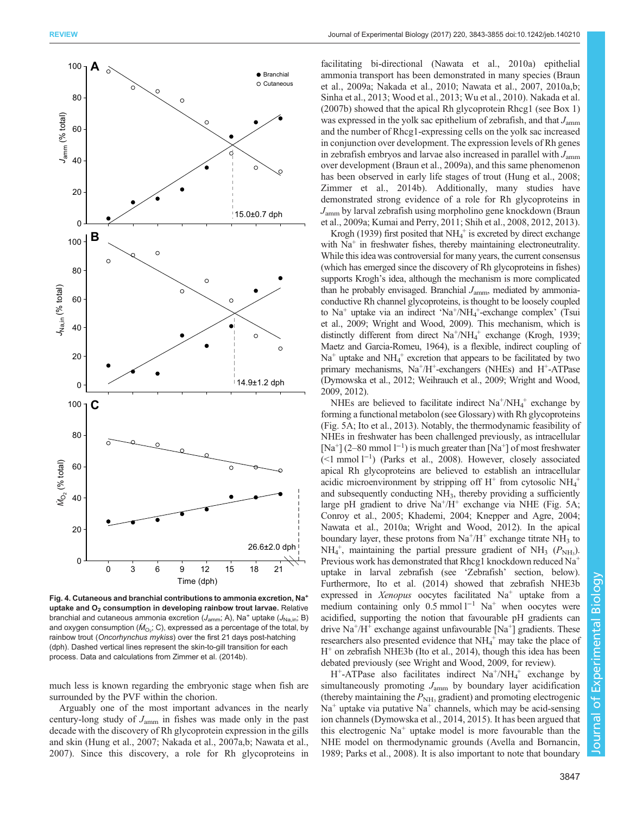<span id="page-4-0"></span>

Fig. 4. Cutaneous and branchial contributions to ammonia excretion, Na<sup>+</sup> uptake and  $O<sub>2</sub>$  consumption in developing rainbow trout larvae. Relative branchial and cutaneous ammonia excretion ( $J_{\text{amm}}$ ; A), Na<sup>+</sup> uptake ( $J_{\text{Na,in}}$ ; B) and oxygen consumption ( $\dot{M}_\mathrm{O_2};$  C), expressed as a percentage of the total, by rainbow trout (Oncorhynchus mykiss) over the first 21 days post-hatching (dph). Dashed vertical lines represent the skin-to-gill transition for each process. Data and calculations from [Zimmer et al. \(2014b\).](#page-12-0)

much less is known regarding the embryonic stage when fish are surrounded by the PVF within the chorion.

Arguably one of the most important advances in the nearly century-long study of  $J_{\text{amm}}$  in fishes was made only in the past decade with the discovery of Rh glycoprotein expression in the gills and skin ([Hung et al., 2007](#page-10-0); [Nakada et al., 2007a,b; Nawata et al.,](#page-11-0) [2007](#page-11-0)). Since this discovery, a role for Rh glycoproteins in

facilitating bi-directional ([Nawata et al., 2010a\)](#page-11-0) epithelial ammonia transport has been demonstrated in many species [\(Braun](#page-9-0) [et al., 2009a](#page-9-0); [Nakada et al., 2010](#page-11-0); [Nawata et al., 2007](#page-11-0), [2010a](#page-11-0),[b](#page-11-0); [Sinha et al., 2013;](#page-11-0) [Wood et al., 2013; Wu et al., 2010](#page-12-0)). [Nakada et al.](#page-11-0) [\(2007b\)](#page-11-0) showed that the apical Rh glycoprotein Rhcg1 (see [Box 1\)](#page-5-0) was expressed in the yolk sac epithelium of zebrafish, and that  $J_{\text{amm}}$ and the number of Rhcg1-expressing cells on the yolk sac increased in conjunction over development. The expression levels of Rh genes in zebrafish embryos and larvae also increased in parallel with  $J_{\text{amm}}$ over development ([Braun et al., 2009a\)](#page-9-0), and this same phenomenon has been observed in early life stages of trout ([Hung et al., 2008](#page-10-0); [Zimmer et al., 2014b\)](#page-12-0). Additionally, many studies have demonstrated strong evidence of a role for Rh glycoproteins in  $J_{\text{amm}}$  by larval zebrafish using morpholino gene knockdown [\(Braun](#page-9-0) [et al., 2009a](#page-9-0); [Kumai and Perry, 2011;](#page-10-0) [Shih et al., 2008](#page-11-0), [2012](#page-11-0), [2013\)](#page-11-0).

[Krogh \(1939\)](#page-10-0) first posited that  $NH_4^+$  is excreted by direct exchange with  $Na<sup>+</sup>$  in freshwater fishes, thereby maintaining electroneutrality. While this idea was controversial for many years, the current consensus (which has emerged since the discovery of Rh glycoproteins in fishes) supports Krogh's idea, although the mechanism is more complicated than he probably envisaged. Branchial  $J_{\text{amm}}$ , mediated by ammoniaconductive Rh channel glycoproteins, is thought to be loosely coupled to Na<sup>+</sup> uptake via an indirect 'Na<sup>+</sup>/NH<sub>4</sub><sup>+</sup>-exchange complex' ([Tsui](#page-11-0) [et al., 2009;](#page-11-0) [Wright and Wood, 2009](#page-12-0)). This mechanism, which is distinctly different from direct Na<sup>+</sup>/NH<sub>4</sub><sup>+</sup> exchange [\(Krogh, 1939](#page-10-0); [Maetz and Garcia-Romeu, 1964\)](#page-10-0), is a flexible, indirect coupling of  $Na<sup>+</sup>$  uptake and  $NH<sub>4</sub><sup>+</sup>$  excretion that appears to be facilitated by two primary mechanisms, Na<sup>+</sup>/H<sup>+</sup>-exchangers (NHEs) and H<sup>+</sup>-ATPase [\(Dymowska et al., 2012;](#page-10-0) [Weihrauch et al., 2009;](#page-11-0) [Wright and Wood,](#page-12-0) [2009](#page-12-0), [2012](#page-12-0)).

NHEs are believed to facilitate indirect  $Na^+/NH_4^+$  exchange by forming a functional metabolon (see Glossary) with Rh glycoproteins [\(Fig. 5A](#page-5-0); [Ito et al., 2013\)](#page-10-0). Notably, the thermodynamic feasibility of NHEs in freshwater has been challenged previously, as intracellular [Na<sup>+</sup>] (2–80 mmol l<sup>-1</sup>) is much greater than [Na<sup>+</sup>] of most freshwater (<1 mmol l−<sup>1</sup> ) [\(Parks et al., 2008\)](#page-11-0). However, closely associated apical Rh glycoproteins are believed to establish an intracellular acidic microenvironment by stripping off  $H^+$  from cytosolic  $NH_4^+$ and subsequently conducting NH<sub>3</sub>, thereby providing a sufficiently large pH gradient to drive  $\text{Na}^+\text{/H}^+$  exchange via NHE [\(Fig. 5A](#page-5-0); [Conroy et al., 2005; Khademi, 2004](#page-10-0); [Knepper and Agre, 2004](#page-10-0); [Nawata et al., 2010a;](#page-11-0) [Wright and Wood, 2012](#page-12-0)). In the apical boundary layer, these protons from  $\text{Na}^+\text{/H}^+$  exchange titrate  $\text{NH}_3$  to  $NH_4^+$ , maintaining the partial pressure gradient of NH<sub>3</sub> ( $P_{NH_3}$ ). Previous work has demonstrated that Rhcg1 knockdown reduced Na<sup>+</sup> uptake in larval zebrafish (see 'Zebrafish' section, below). Furthermore, [Ito et al. \(2014\)](#page-10-0) showed that zebrafish NHE3b expressed in Xenopus oocytes facilitated  $Na<sup>+</sup>$  uptake from a medium containing only 0.5 mmol  $l^{-1}$  Na<sup>+</sup> when oocytes were acidified, supporting the notion that favourable pH gradients can drive  $\text{Na}^+\text{/H}^+$  exchange against unfavourable  $\text{[Na}^+$ ] gradients. These researchers also presented evidence that NH<sub>4</sub><sup>+</sup> may take the place of H<sup>+</sup> on zebrafish NHE3b [\(Ito et al., 2014](#page-10-0)), though this idea has been debated previously (see [Wright and Wood, 2009](#page-12-0), for review).

 $H^+$ -ATPase also facilitates indirect  $Na^+/NH_4^+$  exchange by simultaneously promoting  $J_{\text{amm}}$  by boundary layer acidification (thereby maintaining the  $P_{NH_3}$  gradient) and promoting electrogenic  $Na<sup>+</sup>$  uptake via putative  $Na<sup>+</sup>$  channels, which may be acid-sensing ion channels [\(Dymowska et al., 2014, 2015](#page-10-0)). It has been argued that this electrogenic  $Na<sup>+</sup>$  uptake model is more favourable than the NHE model on thermodynamic grounds ([Avella and Bornancin,](#page-9-0) [1989;](#page-9-0) [Parks et al., 2008\)](#page-11-0). It is also important to note that boundary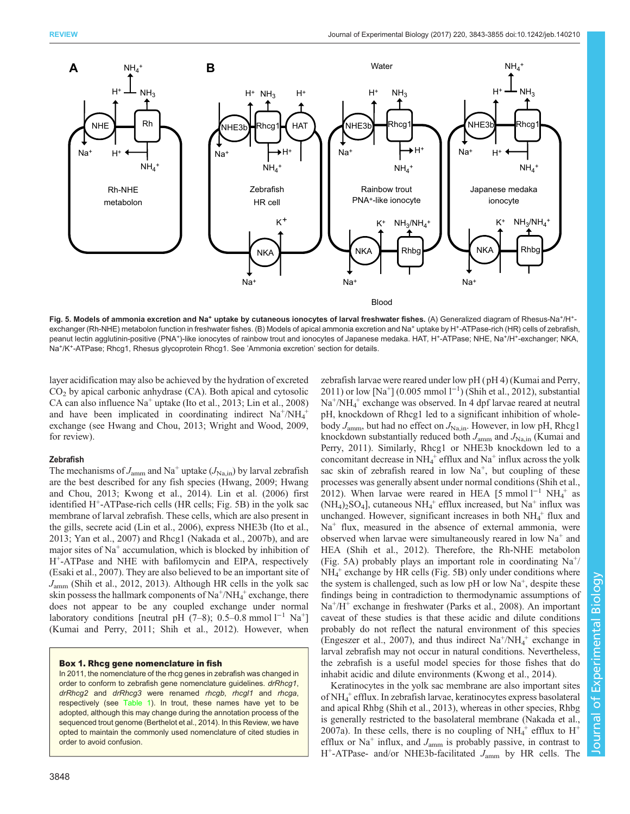<span id="page-5-0"></span>

Fig. 5. Models of ammonia excretion and Na<sup>+</sup> uptake by cutaneous ionocytes of larval freshwater fishes. (A) Generalized diagram of Rhesus-Na<sup>+</sup>/H<sup>+</sup>exchanger (Rh-NHE) metabolon function in freshwater fishes. (B) Models of apical ammonia excretion and Na<sup>+</sup> uptake by H<sup>+</sup>-ATPase-rich (HR) cells of zebrafish, peanut lectin agglutinin-positive (PNA+)-like ionocytes of rainbow trout and ionocytes of Japanese medaka. HAT, H+-ATPase; NHE, Na+/H+-exchanger; NKA, Na+/K+-ATPase; Rhcg1, Rhesus glycoprotein Rhcg1. See 'Ammonia excretion' section for details.

layer acidification may also be achieved by the hydration of excreted  $CO<sub>2</sub>$  by apical carbonic anhydrase (CA). Both apical and cytosolic CA can also influence Na<sup>+</sup> uptake ([Ito et al., 2013](#page-10-0); [Lin et al., 2008\)](#page-10-0) and have been implicated in coordinating indirect  $Na^+/NH_4^+$ exchange (see [Hwang and Chou, 2013;](#page-10-0) [Wright and Wood, 2009,](#page-12-0) for review).

# Zebrafish

The mechanisms of  $J_{\text{amm}}$  and Na<sup>+</sup> uptake ( $J_{\text{Na,in}}$ ) by larval zebrafish are the best described for any fish species [\(Hwang, 2009](#page-10-0); [Hwang](#page-10-0) [and Chou, 2013; Kwong et al., 2014\)](#page-10-0). [Lin et al. \(2006\)](#page-10-0) first identified  $H^+$ -ATPase-rich cells (HR cells; Fig. 5B) in the yolk sac membrane of larval zebrafish. These cells, which are also present in the gills, secrete acid [\(Lin et al., 2006](#page-10-0)), express NHE3b ([Ito et al.,](#page-10-0) [2013](#page-10-0); [Yan et al., 2007](#page-12-0)) and Rhcg1 ([Nakada et al., 2007b](#page-11-0)), and are major sites of  $Na<sup>+</sup>$  accumulation, which is blocked by inhibition of H+-ATPase and NHE with bafilomycin and EIPA, respectively [\(Esaki et al., 2007](#page-10-0)). They are also believed to be an important site of Jamm [\(Shih et al., 2012, 2013](#page-11-0)). Although HR cells in the yolk sac skin possess the hallmark components of  $Na^+/NH_4^+$  exchange, there does not appear to be any coupled exchange under normal laboratory conditions [neutral pH (7–8); 0.5–0.8 mmol l<sup>-1</sup> Na<sup>+</sup>] [\(Kumai and Perry, 2011;](#page-10-0) [Shih et al., 2012\)](#page-11-0). However, when

#### Box 1. Rhcg gene nomenclature in fish

In 2011, the nomenclature of the rhcg genes in zebrafish was changed in order to conform to zebrafish gene nomenclature guidelines. drRhcg1, drRhcg2 and drRhcg3 were renamed rhcgb, rhcgl1 and rhcga, respectively (see [Table 1\)](#page-6-0). In trout, these names have yet to be adopted, although this may change during the annotation process of the sequenced trout genome ([Berthelot et al., 2014](#page-9-0)). In this Review, we have opted to maintain the commonly used nomenclature of cited studies in order to avoid confusion.

[2011\)](#page-10-0) or low [Na<sup>+</sup>] (0.005 mmol l<sup>-1</sup>) ([Shih et al., 2012](#page-11-0)), substantial Na<sup>+</sup>/NH<sub>4</sub><sup>+</sup> exchange was observed. In 4 dpf larvae reared at neutral pH, knockdown of Rhcg1 led to a significant inhibition of wholebody  $J_{\text{amm}}$ , but had no effect on  $J_{\text{Na,in}}$ . However, in low pH, Rhcg1 knockdown substantially reduced both  $J_{\text{amm}}$  and  $J_{\text{Na,in}}$  [\(Kumai and](#page-10-0) [Perry, 2011\)](#page-10-0). Similarly, Rhcg1 or NHE3b knockdown led to a concomitant decrease in  $NH_4^+$  efflux and  $Na^+$  influx across the yolk sac skin of zebrafish reared in low  $Na<sup>+</sup>$ , but coupling of these processes was generally absent under normal conditions ([Shih et al.,](#page-11-0) [2012\)](#page-11-0). When larvae were reared in HEA [5 mmol  $l^{-1}$  NH<sub>4</sub><sup>+</sup> as  $(NH_4)_2SO_4$ ], cutaneous  $NH_4^+$  efflux increased, but Na<sup>+</sup> influx was unchanged. However, significant increases in both  $NH_4^+$  flux and  $Na<sup>+</sup>$  flux, measured in the absence of external ammonia, were observed when larvae were simultaneously reared in low  $Na<sup>+</sup>$  and HEA [\(Shih et al., 2012\)](#page-11-0). Therefore, the Rh-NHE metabolon (Fig. 5A) probably plays an important role in coordinating  $Na^{+}$ / NH<sub>4</sub><sup>+</sup> exchange by HR cells (Fig. 5B) only under conditions where the system is challenged, such as low  $pH$  or low  $Na^+$ , despite these findings being in contradiction to thermodynamic assumptions of  $Na<sup>+</sup>/H<sup>+</sup>$  exchange in freshwater [\(Parks et al., 2008](#page-11-0)). An important caveat of these studies is that these acidic and dilute conditions probably do not reflect the natural environment of this species [\(Engeszer et al., 2007\)](#page-10-0), and thus indirect  $Na^+/NH_4^+$  exchange in larval zebrafish may not occur in natural conditions. Nevertheless, the zebrafish is a useful model species for those fishes that do inhabit acidic and dilute environments ([Kwong et al., 2014](#page-10-0)).

zebrafish larvae were reared under low pH ( pH 4) ([Kumai and Perry,](#page-10-0)

Keratinocytes in the yolk sac membrane are also important sites of NH4 <sup>+</sup> efflux. In zebrafish larvae, keratinocytes express basolateral and apical Rhbg ([Shih et al., 2013\)](#page-11-0), whereas in other species, Rhbg is generally restricted to the basolateral membrane ([Nakada et al.,](#page-11-0) [2007a](#page-11-0)). In these cells, there is no coupling of  $NH_4^+$  efflux to  $H^+$ efflux or  $Na<sup>+</sup>$  influx, and  $J<sub>amm</sub>$  is probably passive, in contrast to  $H^+$ -ATPase- and/or NHE3b-facilitated  $J_{\text{amm}}$  by HR cells. The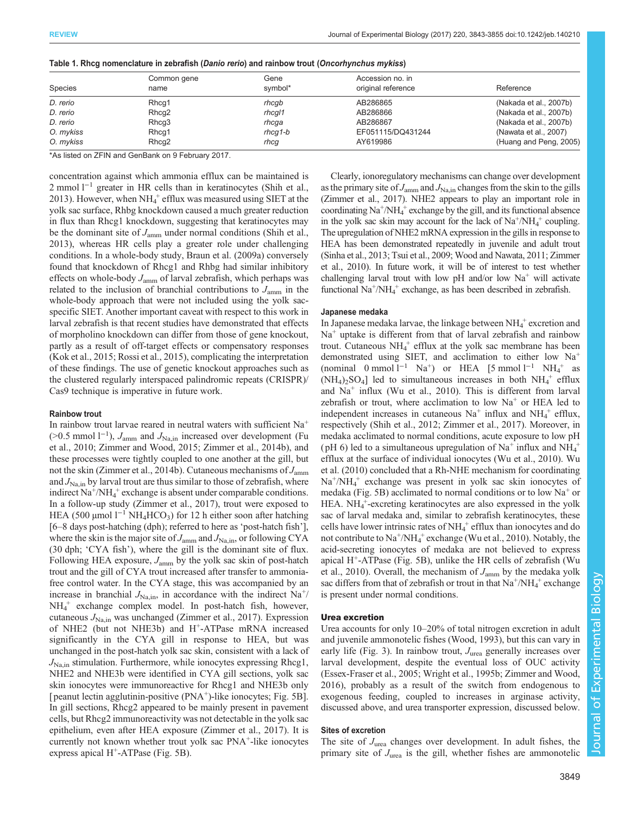| <b>Species</b> | Common gene<br>name | Gene<br>symbol*   | Accession no. in<br>original reference | Reference              |
|----------------|---------------------|-------------------|----------------------------------------|------------------------|
|                |                     |                   |                                        |                        |
| D. rerio       | Rhcq1               | rhcqb             | AB286865                               | (Nakada et al., 2007b) |
| D. rerio       | Rhcg <sub>2</sub>   | rhcql1            | AB286866                               | (Nakada et al., 2007b) |
| D. rerio       | Rhcg3               | rhcqa             | AB286867                               | (Nakada et al., 2007b) |
| O. mykiss      | Rhcq1               | $r$ <i>hcq1-b</i> | EF051115/DQ431244                      | (Nawata et al., 2007)  |
| O. mykiss      | Rhcq2               | rhcg              | AY619986                               | (Huang and Peng, 2005) |

<span id="page-6-0"></span>

\*As listed on ZFIN and GenBank on 9 February 2017.

concentration against which ammonia efflux can be maintained is 2 mmol l<sup>−1</sup> greater in HR cells than in keratinocytes [\(Shih et al.,](#page-11-0) [2013](#page-11-0)). However, when  $NH_4^+$  efflux was measured using SIET at the yolk sac surface, Rhbg knockdown caused a much greater reduction in flux than Rhcg1 knockdown, suggesting that keratinocytes may be the dominant site of  $J_{\text{amm}}$  under normal conditions ([Shih et al.,](#page-11-0) [2013](#page-11-0)), whereas HR cells play a greater role under challenging conditions. In a whole-body study, [Braun et al. \(2009a\)](#page-9-0) conversely found that knockdown of Rhcg1 and Rhbg had similar inhibitory effects on whole-body  $J_{\text{amm}}$  of larval zebrafish, which perhaps was related to the inclusion of branchial contributions to  $J_{\text{amm}}$  in the whole-body approach that were not included using the yolk sacspecific SIET. Another important caveat with respect to this work in larval zebrafish is that recent studies have demonstrated that effects of morpholino knockdown can differ from those of gene knockout, partly as a result of off-target effects or compensatory responses [\(Kok et al., 2015](#page-10-0); [Rossi et al., 2015](#page-11-0)), complicating the interpretation of these findings. The use of genetic knockout approaches such as the clustered regularly interspaced palindromic repeats (CRISPR)/ Cas9 technique is imperative in future work.

#### Rainbow trout

In rainbow trout larvae reared in neutral waters with sufficient Na<sup>+</sup> (>0.5 mmol l<sup>-1</sup>),  $J_{\text{amm}}$  and  $J_{\text{Na,in}}$  increased over development [\(Fu](#page-10-0) [et al., 2010;](#page-10-0) [Zimmer and Wood, 2015](#page-12-0); [Zimmer et al., 2014b](#page-12-0)), and these processes were tightly coupled to one another at the gill, but not the skin [\(Zimmer et al., 2014b](#page-12-0)). Cutaneous mechanisms of  $J_{\text{amm}}$ and  $J_{\text{Na,in}}$  by larval trout are thus similar to those of zebrafish, where indirect  $\text{Na}^{\ddagger}/\text{NH}_4^+$  exchange is absent under comparable conditions. In a follow-up study [\(Zimmer et al., 2017\)](#page-12-0), trout were exposed to HEA (500 µmol  $l^{-1}$  NH<sub>4</sub>HCO<sub>3</sub>) for 12 h either soon after hatching [6–8 days post-hatching (dph); referred to here as 'post-hatch fish'], where the skin is the major site of  $J_{\text{amm}}$  and  $J_{\text{Na,in}}$ , or following CYA (30 dph; 'CYA fish'), where the gill is the dominant site of flux. Following HEA exposure,  $J_{\text{amm}}$  by the yolk sac skin of post-hatch trout and the gill of CYA trout increased after transfer to ammoniafree control water. In the CYA stage, this was accompanied by an increase in branchial  $J_{\text{Na,in}}$ , in accordance with the indirect Na<sup>+</sup>/ NH4 <sup>+</sup> exchange complex model. In post-hatch fish, however, cutaneous  $J_{\text{Na,in}}$  was unchanged ([Zimmer et al., 2017](#page-12-0)). Expression of NHE2 (but not NHE3b) and H<sup>+</sup>-ATPase mRNA increased significantly in the CYA gill in response to HEA, but was unchanged in the post-hatch yolk sac skin, consistent with a lack of  $J_{\text{Na,in}}$  stimulation. Furthermore, while ionocytes expressing Rhcg1, NHE2 and NHE3b were identified in CYA gill sections, yolk sac skin ionocytes were immunoreactive for Rhcg1 and NHE3b only [ peanut lectin agglutinin-positive  $(PNA<sup>+</sup>)$ -like ionocytes; [Fig. 5](#page-5-0)B]. In gill sections, Rhcg2 appeared to be mainly present in pavement cells, but Rhcg2 immunoreactivity was not detectable in the yolk sac epithelium, even after HEA exposure [\(Zimmer et al., 2017\)](#page-12-0). It is currently not known whether trout yolk sac PNA<sup>+</sup>-like ionocytes express apical  $H^+$ -ATPase [\(Fig. 5B](#page-5-0)).

Clearly, ionoregulatory mechanisms can change over development as the primary site of  $J_{\text{amm}}$  and  $J_{\text{Na,in}}$  changes from the skin to the gills [\(Zimmer et al., 2017\)](#page-12-0). NHE2 appears to play an important role in coordinating Na+ /NH4 <sup>+</sup> exchange by the gill, and its functional absence in the yolk sac skin may account for the lack of  $Na^+/NH_4^+$  coupling. The upregulation of NHE2 mRNA expression in the gills in response to HEA has been demonstrated repeatedly in juvenile and adult trout [\(Sinha et al., 2013](#page-11-0); [Tsui et al., 2009;](#page-11-0) [Wood and Nawata, 2011](#page-12-0); [Zimmer](#page-12-0) [et al., 2010\)](#page-12-0). In future work, it will be of interest to test whether challenging larval trout with low pH and/or low  $Na<sup>+</sup>$  will activate functional Na<sup>+</sup>/NH<sub>4</sub><sup>+</sup> exchange, as has been described in zebrafish.

#### Japanese medaka

In Japanese medaka larvae, the linkage between  $NH_4^+$  excretion and Na<sup>+</sup> uptake is different from that of larval zebrafish and rainbow trout. Cutaneous  $NH_4^+$  efflux at the yolk sac membrane has been demonstrated using SIET, and acclimation to either low Na<sup>+</sup> (nominal 0 mmol  $l^{-1}$  Na<sup>+</sup>) or HEA [5 mmol  $l^{-1}$  NH<sub>4</sub><sup>+</sup> as  $(NH_4)_2SO_4$ ] led to simultaneous increases in both  $NH_4^+$  efflux and  $Na<sup>+</sup>$  influx [\(Wu et al., 2010\)](#page-12-0). This is different from larval zebrafish or trout, where acclimation to low  $Na<sup>+</sup>$  or HEA led to independent increases in cutaneous  $Na<sup>+</sup>$  influx and  $NH<sub>4</sub><sup>+</sup>$  efflux, respectively ([Shih et al., 2012;](#page-11-0) [Zimmer et al., 2017\)](#page-12-0). Moreover, in medaka acclimated to normal conditions, acute exposure to low pH (pH 6) led to a simultaneous upregulation of  $Na<sup>+</sup>$  influx and  $NH<sub>4</sub><sup>+</sup>$ efflux at the surface of individual ionocytes [\(Wu et al., 2010](#page-12-0)). [Wu](#page-12-0) [et al. \(2010](#page-12-0)) concluded that a Rh-NHE mechanism for coordinating Na+/NH4 <sup>+</sup> exchange was present in yolk sac skin ionocytes of medaka ([Fig. 5B](#page-5-0)) acclimated to normal conditions or to low  $Na<sup>+</sup>$  or HEA.  $NH_4^+$ -excreting keratinocytes are also expressed in the yolk sac of larval medaka and, similar to zebrafish keratinocytes, these cells have lower intrinsic rates of  $NH_4^+$  efflux than ionocytes and do not contribute to  $\text{Na}^+\text{/} \text{NH}_4^+$  exchange ([Wu et al., 2010\)](#page-12-0). Notably, the acid-secreting ionocytes of medaka are not believed to express apical  $H^+$ -ATPase [\(Fig. 5B](#page-5-0)), unlike the HR cells of zebrafish [\(Wu](#page-12-0) [et al., 2010](#page-12-0)). Overall, the mechanism of  $J_{\text{amm}}$  by the medaka yolk sac differs from that of zebrafish or trout in that  $Na^+ / NH_4^+$  exchange is present under normal conditions.

# Urea excretion

Urea accounts for only 10–20% of total nitrogen excretion in adult and juvenile ammonotelic fishes ([Wood, 1993\)](#page-12-0), but this can vary in early life ([Fig. 3\)](#page-3-0). In rainbow trout,  $J_{\text{unea}}$  generally increases over larval development, despite the eventual loss of OUC activity [\(Essex-Fraser et al., 2005;](#page-10-0) [Wright et al., 1995b](#page-12-0); [Zimmer and Wood,](#page-12-0) [2016\)](#page-12-0), probably as a result of the switch from endogenous to exogenous feeding, coupled to increases in arginase activity, discussed above, and urea transporter expression, discussed below.

# Sites of excretion

The site of  $J<sub>urea</sub>$  changes over development. In adult fishes, the primary site of  $J_{\text{urea}}$  is the gill, whether fishes are ammonotelic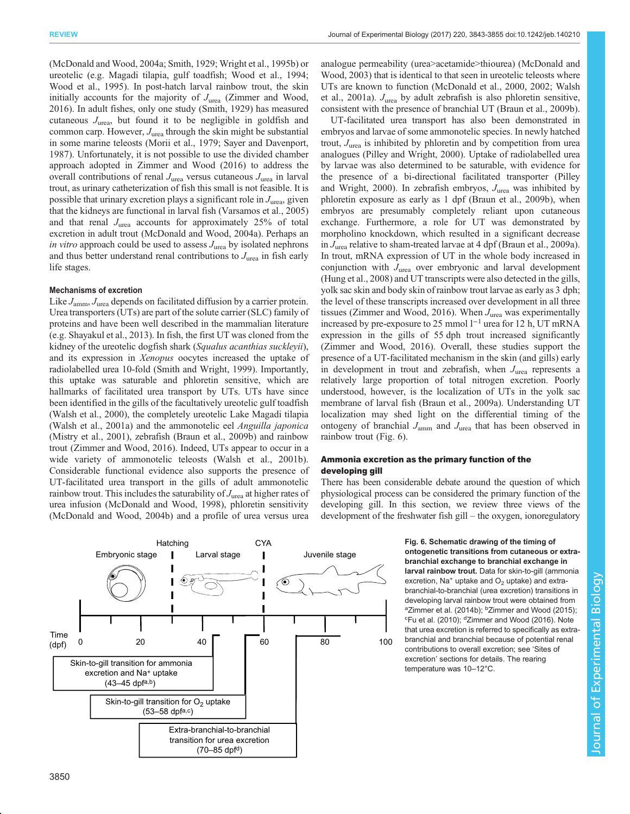<span id="page-7-0"></span>[\(McDonald and Wood, 2004a;](#page-10-0) [Smith, 1929](#page-11-0); [Wright et al., 1995b](#page-12-0)) or ureotelic (e.g. Magadi tilapia, gulf toadfish; [Wood et al., 1994](#page-12-0); [Wood et al., 1995](#page-12-0)). In post-hatch larval rainbow trout, the skin initially accounts for the majority of  $J_{\text{urea}}$  [\(Zimmer and Wood,](#page-12-0) [2016](#page-12-0)). In adult fishes, only one study [\(Smith, 1929\)](#page-11-0) has measured cutaneous  $J_{\text{urea}}$ , but found it to be negligible in goldfish and common carp. However,  $J_{\text{urea}}$  through the skin might be substantial in some marine teleosts [\(Morii et al., 1979](#page-11-0); [Sayer and Davenport,](#page-11-0) [1987](#page-11-0)). Unfortunately, it is not possible to use the divided chamber approach adopted in [Zimmer and Wood \(2016\)](#page-12-0) to address the overall contributions of renal  $J_{\text{urea}}$  versus cutaneous  $J_{\text{urea}}$  in larval trout, as urinary catheterization of fish this small is not feasible. It is possible that urinary excretion plays a significant role in  $J_{\text{unea}}$ , given that the kidneys are functional in larval fish [\(Varsamos et al., 2005\)](#page-11-0) and that renal  $J_{\text{unea}}$  accounts for approximately 25% of total excretion in adult trout [\(McDonald and Wood, 2004a\)](#page-10-0). Perhaps an in vitro approach could be used to assess  $J_{\text{unea}}$  by isolated nephrons and thus better understand renal contributions to  $J<sub>urea</sub>$  in fish early life stages.

## Mechanisms of excretion

Like  $J_{\text{amm}}$ ,  $J_{\text{urea}}$  depends on facilitated diffusion by a carrier protein. Urea transporters (UTs) are part of the solute carrier (SLC) family of proteins and have been well described in the mammalian literature (e.g. [Shayakul et al., 2013\)](#page-11-0). In fish, the first UT was cloned from the kidney of the ureotelic dogfish shark (Squalus acanthias suckleyii), and its expression in Xenopus oocytes increased the uptake of radiolabelled urea 10-fold [\(Smith and Wright, 1999](#page-11-0)). Importantly, this uptake was saturable and phloretin sensitive, which are hallmarks of facilitated urea transport by UTs. UTs have since been identified in the gills of the facultatively ureotelic gulf toadfish [\(Walsh et al., 2000\)](#page-11-0), the completely ureotelic Lake Magadi tilapia [\(Walsh et al., 2001a](#page-11-0)) and the ammonotelic eel Anguilla japonica [\(Mistry et al., 2001\)](#page-11-0), zebrafish ([Braun et al., 2009b](#page-10-0)) and rainbow trout ([Zimmer and Wood, 2016](#page-12-0)). Indeed, UTs appear to occur in a wide variety of ammonotelic teleosts ([Walsh et al., 2001b\)](#page-11-0). Considerable functional evidence also supports the presence of UT-facilitated urea transport in the gills of adult ammonotelic rainbow trout. This includes the saturability of  $J_{\text{unea}}$  at higher rates of urea infusion [\(McDonald and Wood, 1998\)](#page-10-0), phloretin sensitivity [\(McDonald and Wood, 2004b](#page-10-0)) and a profile of urea versus urea



analogue permeability (urea>acetamide>thiourea) ([McDonald and](#page-10-0) [Wood, 2003](#page-10-0)) that is identical to that seen in ureotelic teleosts where UTs are known to function ([McDonald et al., 2000, 2002;](#page-10-0) [Walsh](#page-11-0) [et al., 2001a\)](#page-11-0).  $J_{\text{area}}$  by adult zebrafish is also phloretin sensitive, consistent with the presence of branchial UT [\(Braun et al., 2009b\)](#page-10-0).

UT-facilitated urea transport has also been demonstrated in embryos and larvae of some ammonotelic species. In newly hatched trout,  $J_{\text{area}}$  is inhibited by phloretin and by competition from urea analogues ([Pilley and Wright, 2000](#page-11-0)). Uptake of radiolabelled urea by larvae was also determined to be saturable, with evidence for the presence of a bi-directional facilitated transporter [\(Pilley](#page-11-0) [and Wright, 2000](#page-11-0)). In zebrafish embryos,  $J<sub>urea</sub>$  was inhibited by phloretin exposure as early as 1 dpf ([Braun et al., 2009b\)](#page-10-0), when embryos are presumably completely reliant upon cutaneous exchange. Furthermore, a role for UT was demonstrated by morpholino knockdown, which resulted in a significant decrease in  $J_{\text{unea}}$  relative to sham-treated larvae at 4 dpf ([Braun et al., 2009a\)](#page-9-0). In trout, mRNA expression of UT in the whole body increased in conjunction with  $J<sub>urea</sub>$  over embryonic and larval development [\(Hung et al., 2008\)](#page-10-0) and UT transcripts were also detected in the gills, yolk sac skin and body skin of rainbow trout larvae as early as 3 dph; the level of these transcripts increased over development in all three tissues ([Zimmer and Wood, 2016\)](#page-12-0). When  $J_{\text{urea}}$  was experimentally increased by pre-exposure to 25 mmol  $l^{-1}$  urea for 12 h, UT mRNA expression in the gills of 55 dph trout increased significantly [\(Zimmer and Wood, 2016](#page-12-0)). Overall, these studies support the presence of a UT-facilitated mechanism in the skin (and gills) early in development in trout and zebrafish, when  $J_{\text{unea}}$  represents a relatively large proportion of total nitrogen excretion. Poorly understood, however, is the localization of UTs in the yolk sac membrane of larval fish [\(Braun et al., 2009a](#page-9-0)). Understanding UT localization may shed light on the differential timing of the ontogeny of branchial  $J_{\text{amm}}$  and  $J_{\text{urea}}$  that has been observed in rainbow trout (Fig. 6).

## Ammonia excretion as the primary function of the developing gill

There has been considerable debate around the question of which physiological process can be considered the primary function of the developing gill. In this section, we review three views of the development of the freshwater fish gill – the oxygen, ionoregulatory

> Fig. 6. Schematic drawing of the timing of ontogenetic transitions from cutaneous or extrabranchial exchange to branchial exchange in larval rainbow trout. Data for skin-to-gill (ammonia excretion, Na<sup>+</sup> uptake and  $O<sub>2</sub>$  uptake) and extrabranchial-to-branchial (urea excretion) transitions in developing larval rainbow trout were obtained from <sup>a</sup>[Zimmer et al. \(2014b\)](#page-12-0); <sup>b</sup>[Zimmer and Wood \(2015\)](#page-12-0); <sup>c</sup>[Fu et al. \(2010\);](#page-10-0) <sup>d</sup>[Zimmer and Wood \(2016\)](#page-12-0). Note that urea excretion is referred to specifically as extrabranchial and branchial because of potential renal contributions to overall excretion; see 'Sites of excretion' sections for details. The rearing temperature was 10–12°C.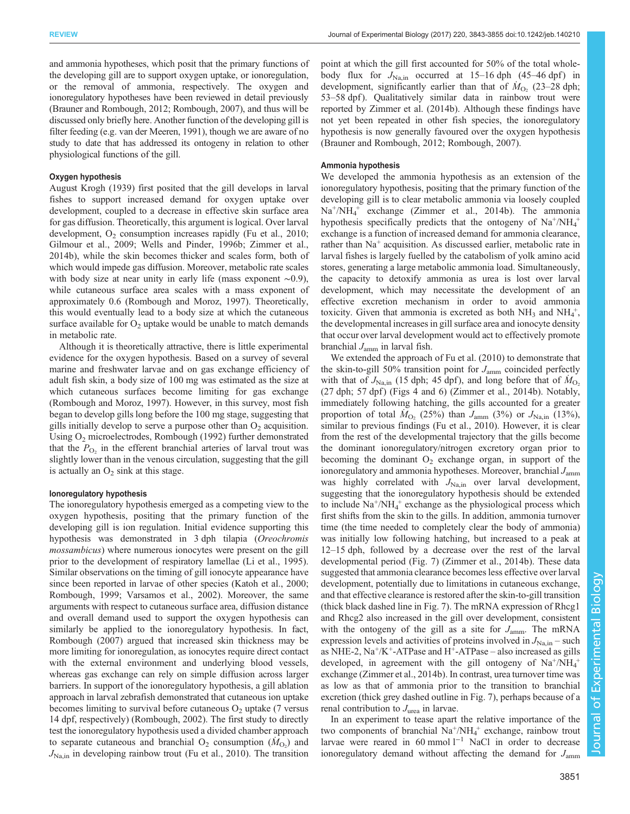and ammonia hypotheses, which posit that the primary functions of the developing gill are to support oxygen uptake, or ionoregulation, or the removal of ammonia, respectively. The oxygen and ionoregulatory hypotheses have been reviewed in detail previously [\(Brauner and Rombough, 2012](#page-10-0); [Rombough, 2007](#page-11-0)), and thus will be discussed only briefly here. Another function of the developing gill is filter feeding (e.g. [van der Meeren, 1991](#page-11-0)), though we are aware of no study to date that has addressed its ontogeny in relation to other physiological functions of the gill.

#### Oxygen hypothesis

[August Krogh \(1939\)](#page-10-0) first posited that the gill develops in larval fishes to support increased demand for oxygen uptake over development, coupled to a decrease in effective skin surface area for gas diffusion. Theoretically, this argument is logical. Over larval development,  $O_2$  consumption increases rapidly ([Fu et al., 2010](#page-10-0); [Gilmour et al., 2009](#page-10-0); [Wells and Pinder, 1996b](#page-11-0); [Zimmer et al.,](#page-12-0) [2014b\)](#page-12-0), while the skin becomes thicker and scales form, both of which would impede gas diffusion. Moreover, metabolic rate scales with body size at near unity in early life (mass exponent ∼0.9), while cutaneous surface area scales with a mass exponent of approximately 0.6 ([Rombough and Moroz, 1997\)](#page-11-0). Theoretically, this would eventually lead to a body size at which the cutaneous surface available for  $O_2$  uptake would be unable to match demands in metabolic rate.

Although it is theoretically attractive, there is little experimental evidence for the oxygen hypothesis. Based on a survey of several marine and freshwater larvae and on gas exchange efficiency of adult fish skin, a body size of 100 mg was estimated as the size at which cutaneous surfaces become limiting for gas exchange [\(Rombough and Moroz, 1997](#page-11-0)). However, in this survey, most fish began to develop gills long before the 100 mg stage, suggesting that gills initially develop to serve a purpose other than  $O<sub>2</sub>$  acquisition. Using O<sub>2</sub> microelectrodes, [Rombough \(1992\)](#page-11-0) further demonstrated that the  $P_{\text{O}_2}$  in the efferent branchial arteries of larval trout was slightly lower than in the venous circulation, suggesting that the gill is actually an  $O_2$  sink at this stage.

#### Ionoregulatory hypothesis

The ionoregulatory hypothesis emerged as a competing view to the oxygen hypothesis, positing that the primary function of the developing gill is ion regulation. Initial evidence supporting this hypothesis was demonstrated in 3 dph tilapia (Oreochromis mossambicus) where numerous ionocytes were present on the gill prior to the development of respiratory lamellae [\(Li et al., 1995\)](#page-10-0). Similar observations on the timing of gill ionocyte appearance have since been reported in larvae of other species [\(Katoh et al., 2000](#page-10-0); [Rombough, 1999; Varsamos et al., 2002](#page-11-0)). Moreover, the same arguments with respect to cutaneous surface area, diffusion distance and overall demand used to support the oxygen hypothesis can similarly be applied to the ionoregulatory hypothesis. In fact, [Rombough \(2007\)](#page-11-0) argued that increased skin thickness may be more limiting for ionoregulation, as ionocytes require direct contact with the external environment and underlying blood vessels, whereas gas exchange can rely on simple diffusion across larger barriers. In support of the ionoregulatory hypothesis, a gill ablation approach in larval zebrafish demonstrated that cutaneous ion uptake becomes limiting to survival before cutaneous  $O<sub>2</sub>$  uptake (7 versus 14 dpf, respectively) ([Rombough, 2002\)](#page-11-0). The first study to directly test the ionoregulatory hypothesis used a divided chamber approach to separate cutaneous and branchial  $O_2$  consumption  $(M_{O_2})$  and  $J_{\text{Na,in}}$  in developing rainbow trout [\(Fu et al., 2010\)](#page-10-0). The transition

point at which the gill first accounted for 50% of the total wholebody flux for  $J_{\text{Na,in}}$  occurred at 15–16 dph (45–46 dpf) in development, significantly earlier than that of  $\dot{M}_{\text{O}_2}$  (23–28 dph; 53–58 dpf). Qualitatively similar data in rainbow trout were reported by [Zimmer et al. \(2014b\).](#page-12-0) Although these findings have not yet been repeated in other fish species, the ionoregulatory hypothesis is now generally favoured over the oxygen hypothesis [\(Brauner and Rombough, 2012](#page-10-0); [Rombough, 2007](#page-11-0)).

#### Ammonia hypothesis

We developed the ammonia hypothesis as an extension of the ionoregulatory hypothesis, positing that the primary function of the developing gill is to clear metabolic ammonia via loosely coupled Na+/NH4 <sup>+</sup> exchange [\(Zimmer et al., 2014b](#page-12-0)). The ammonia hypothesis specifically predicts that the ontogeny of  $Na^+/NH_4^+$ exchange is a function of increased demand for ammonia clearance, rather than Na<sup>+</sup> acquisition. As discussed earlier, metabolic rate in larval fishes is largely fuelled by the catabolism of yolk amino acid stores, generating a large metabolic ammonia load. Simultaneously, the capacity to detoxify ammonia as urea is lost over larval development, which may necessitate the development of an effective excretion mechanism in order to avoid ammonia toxicity. Given that ammonia is excreted as both  $NH_3$  and  $NH_4^+$ , the developmental increases in gill surface area and ionocyte density that occur over larval development would act to effectively promote branchial  $J_{\text{amm}}$  in larval fish.

We extended the approach of [Fu et al. \(2010\)](#page-10-0) to demonstrate that the skin-to-gill 50% transition point for  $J_{\text{amm}}$  coincided perfectly with that of  $J_{\text{Na,in}}$  (15 dph; 45 dpf), and long before that of  $\dot{M}_{\text{O}_2}$  $(27$  dph; 57 dpf) ([Figs 4](#page-4-0) and [6](#page-7-0)) ([Zimmer et al., 2014b\)](#page-12-0). Notably, immediately following hatching, the gills accounted for a greater proportion of total  $\dot{M}_{\text{O}_2}$  (25%) than  $J_{\text{amm}}$  (3%) or  $J_{\text{Na,in}}$  (13%), similar to previous findings ([Fu et al., 2010](#page-10-0)). However, it is clear from the rest of the developmental trajectory that the gills become the dominant ionoregulatory/nitrogen excretory organ prior to becoming the dominant  $O_2$  exchange organ, in support of the ionoregulatory and ammonia hypotheses. Moreover, branchial  $J_{\text{amm}}$ was highly correlated with  $J_{\text{Na,in}}$  over larval development, suggesting that the ionoregulatory hypothesis should be extended to include Na<sup>+</sup>/NH<sub>4</sub><sup>+</sup> exchange as the physiological process which first shifts from the skin to the gills. In addition, ammonia turnover time (the time needed to completely clear the body of ammonia) was initially low following hatching, but increased to a peak at 12–15 dph, followed by a decrease over the rest of the larval developmental period ([Fig. 7\)](#page-9-0) ([Zimmer et al., 2014b](#page-12-0)). These data suggested that ammonia clearance becomes less effective over larval development, potentially due to limitations in cutaneous exchange, and that effective clearance is restored after the skin-to-gill transition (thick black dashed line in [Fig. 7\)](#page-9-0). The mRNA expression of Rhcg1 and Rhcg2 also increased in the gill over development, consistent with the ontogeny of the gill as a site for  $J_{\text{amm}}$ . The mRNA expression levels and activities of proteins involved in  $J_{\text{Na,in}}$  – such as NHE-2,  $Na^+/K^+$ -ATPase and H<sup>+</sup>-ATPase – also increased as gills developed, in agreement with the gill ontogeny of  $Na^+/NH_4^+$ exchange [\(Zimmer et al., 2014b\)](#page-12-0). In contrast, urea turnover time was as low as that of ammonia prior to the transition to branchial excretion (thick grey dashed outline in [Fig. 7\)](#page-9-0), perhaps because of a renal contribution to  $J_{\text{unea}}$  in larvae.

In an experiment to tease apart the relative importance of the two components of branchial  $Na^+/NH_4^+$  exchange, rainbow trout larvae were reared in 60 mmol l−<sup>1</sup> NaCl in order to decrease ionoregulatory demand without affecting the demand for  $J_{\text{amm}}$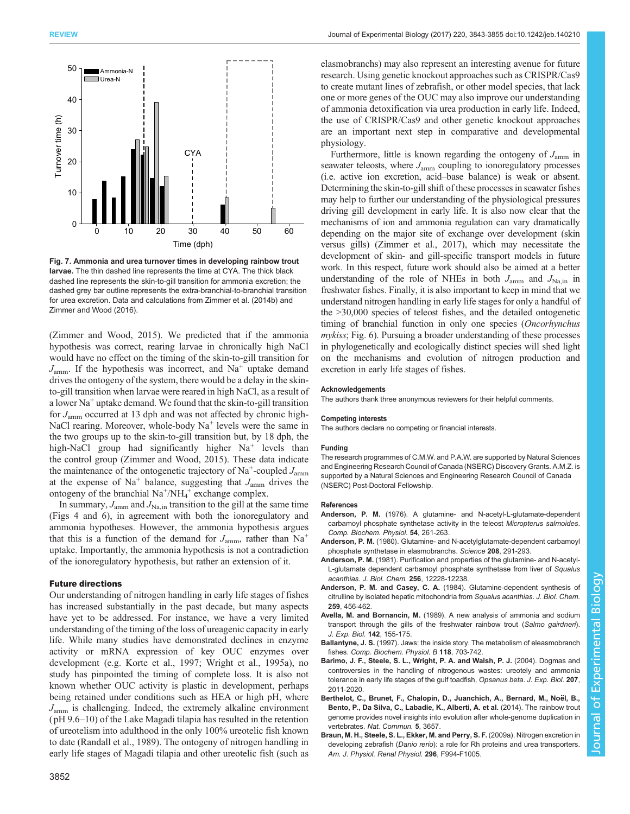<span id="page-9-0"></span>

Fig. 7. Ammonia and urea turnover times in developing rainbow trout larvae. The thin dashed line represents the time at CYA. The thick black dashed line represents the skin-to-gill transition for ammonia excretion; the dashed grey bar outline represents the extra-branchial-to-branchial transition for urea excretion. Data and calculations from [Zimmer et al. \(2014b\)](#page-12-0) and [Zimmer and Wood \(2016\)](#page-12-0).

[\(Zimmer and Wood, 2015\)](#page-12-0). We predicted that if the ammonia hypothesis was correct, rearing larvae in chronically high NaCl would have no effect on the timing of the skin-to-gill transition for  $J_{\text{amm}}$ . If the hypothesis was incorrect, and Na<sup>+</sup> uptake demand drives the ontogeny of the system, there would be a delay in the skinto-gill transition when larvae were reared in high NaCl, as a result of a lower  $Na<sup>+</sup>$  uptake demand. We found that the skin-to-gill transition for  $J_{\text{amm}}$  occurred at 13 dph and was not affected by chronic high-NaCl rearing. Moreover, whole-body  $Na<sup>+</sup>$  levels were the same in the two groups up to the skin-to-gill transition but, by 18 dph, the high-NaCl group had significantly higher Na<sup>+</sup> levels than the control group [\(Zimmer and Wood, 2015\)](#page-12-0). These data indicate the maintenance of the ontogenetic trajectory of Na<sup>+</sup>-coupled  $J_{\text{amm}}$ at the expense of  $Na<sup>+</sup>$  balance, suggesting that  $J_{\text{amm}}$  drives the ontogeny of the branchial  $Na^+/NH_4^+$  exchange complex.

In summary,  $J_{\text{amm}}$  and  $J_{\text{Na,in}}$  transition to the gill at the same time [\(Figs 4](#page-4-0) and [6\)](#page-7-0), in agreement with both the ionoregulatory and ammonia hypotheses. However, the ammonia hypothesis argues that this is a function of the demand for  $J_{\text{amm}}$ , rather than Na<sup>+</sup> uptake. Importantly, the ammonia hypothesis is not a contradiction of the ionoregulatory hypothesis, but rather an extension of it.

## Future directions

Our understanding of nitrogen handling in early life stages of fishes has increased substantially in the past decade, but many aspects have yet to be addressed. For instance, we have a very limited understanding of the timing of the loss of ureagenic capacity in early life. While many studies have demonstrated declines in enzyme activity or mRNA expression of key OUC enzymes over development (e.g. [Korte et al., 1997;](#page-10-0) [Wright et al., 1995a\)](#page-12-0), no study has pinpointed the timing of complete loss. It is also not known whether OUC activity is plastic in development, perhaps being retained under conditions such as HEA or high pH, where  $J_{\text{amm}}$  is challenging. Indeed, the extremely alkaline environment ( pH 9.6–10) of the Lake Magadi tilapia has resulted in the retention of ureotelism into adulthood in the only 100% ureotelic fish known to date [\(Randall et al., 1989\)](#page-11-0). The ontogeny of nitrogen handling in early life stages of Magadi tilapia and other ureotelic fish (such as

elasmobranchs) may also represent an interesting avenue for future research. Using genetic knockout approaches such as CRISPR/Cas9 to create mutant lines of zebrafish, or other model species, that lack one or more genes of the OUC may also improve our understanding of ammonia detoxification via urea production in early life. Indeed, the use of CRISPR/Cas9 and other genetic knockout approaches are an important next step in comparative and developmental physiology.

Furthermore, little is known regarding the ontogeny of  $J_{\text{amm}}$  in seawater teleosts, where  $J_{\text{amm}}$  coupling to ionoregulatory processes (i.e. active ion excretion, acid–base balance) is weak or absent. Determining the skin-to-gill shift of these processes in seawater fishes may help to further our understanding of the physiological pressures driving gill development in early life. It is also now clear that the mechanisms of ion and ammonia regulation can vary dramatically depending on the major site of exchange over development (skin versus gills) [\(Zimmer et al., 2017\)](#page-12-0), which may necessitate the development of skin- and gill-specific transport models in future work. In this respect, future work should also be aimed at a better understanding of the role of NHEs in both  $J_{\text{amm}}$  and  $J_{\text{Na,in}}$  in freshwater fishes. Finally, it is also important to keep in mind that we understand nitrogen handling in early life stages for only a handful of the >30,000 species of teleost fishes, and the detailed ontogenetic timing of branchial function in only one species (Oncorhynchus mykiss; [Fig. 6](#page-7-0)). Pursuing a broader understanding of these processes in phylogenetically and ecologically distinct species will shed light on the mechanisms and evolution of nitrogen production and excretion in early life stages of fishes.

#### Acknowledgements

The authors thank three anonymous reviewers for their helpful comments.

#### Competing interests

The authors declare no competing or financial interests.

#### Funding

The research programmes of C.M.W. and P.A.W. are supported by Natural Sciences and Engineering Research Council of Canada (NSERC) Discovery Grants. A.M.Z. is supported by a Natural Sciences and Engineering Research Council of Canada (NSERC) Post-Doctoral Fellowship.

#### References

- Anderson, P. M. (1976). A glutamine- and N-acetyl-L-glutamate-dependent carbamoyl phosphate synthetase activity in the teleost Micropterus salmoides. Comp. Biochem. Physiol. 54, 261-263.
- Anderson, P. M. [\(1980\). Glutamine- and N-acetylglutamate-dependent carbamoyl](http://dx.doi.org/10.1126/science.6245445) [phosphate synthetase in elasmobranchs.](http://dx.doi.org/10.1126/science.6245445) Science 208, 291-293.
- Anderson, P. M. (1981). Purification and properties of the glutamine- and N-acetyl-L-glutamate dependent carbamoyl phosphate synthetase from liver of Squalus acanthias. J. Biol. Chem. 256, 12228-12238.
- Anderson, P. M. and Casey, C. A. (1984). Glutamine-dependent synthesis of citrulline by isolated hepatic mitochondria from Squalus acanthias. J. Biol. Chem. 259, 456-462.
- Avella, M. and Bornancin, M. (1989). A new analysis of ammonia and sodium transport through the gills of the freshwater rainbow trout (Salmo gairdneri). J. Exp. Biol. 142, 155-175.
- Ballantyne, J. S. [\(1997\). Jaws: the inside story. The metabolism of eleasmobranch](http://dx.doi.org/10.1016/S0305-0491(97)00272-1) fishes. [Comp. Biochem. Physiol. B](http://dx.doi.org/10.1016/S0305-0491(97)00272-1) 118, 703-742.
- [Barimo, J. F., Steele, S. L., Wright, P. A. and Walsh, P. J.](http://dx.doi.org/10.1242/jeb.00956) (2004). Dogmas and [controversies in the handling of nitrogenous wastes: ureotely and ammonia](http://dx.doi.org/10.1242/jeb.00956) [tolerance in early life stages of the gulf toadfish,](http://dx.doi.org/10.1242/jeb.00956) Opsanus beta. J. Exp. Biol. 207, [2011-2020.](http://dx.doi.org/10.1242/jeb.00956)
- Berthelot, C., Brunet, F., Chalopin, D., Juanchich, A., Bernard, M., Noël, B., [Bento, P., Da Silva, C., Labadie, K., Alberti, A. et al.](http://dx.doi.org/10.1038/ncomms4657) (2014). The rainbow trout [genome provides novel insights into evolution after whole-genome duplication in](http://dx.doi.org/10.1038/ncomms4657) vertebrates. [Nat. Commun.](http://dx.doi.org/10.1038/ncomms4657) 5, 3657.
- [Braun, M. H., Steele, S. L., Ekker, M. and Perry, S. F.](http://dx.doi.org/10.1152/ajprenal.90656.2008) (2009a). Nitrogen excretion in developing zebrafish (Danio rerio): a role for Rh proteins and urea transporters [Am. J. Physiol. Renal Physiol.](http://dx.doi.org/10.1152/ajprenal.90656.2008) 296, F994-F1005.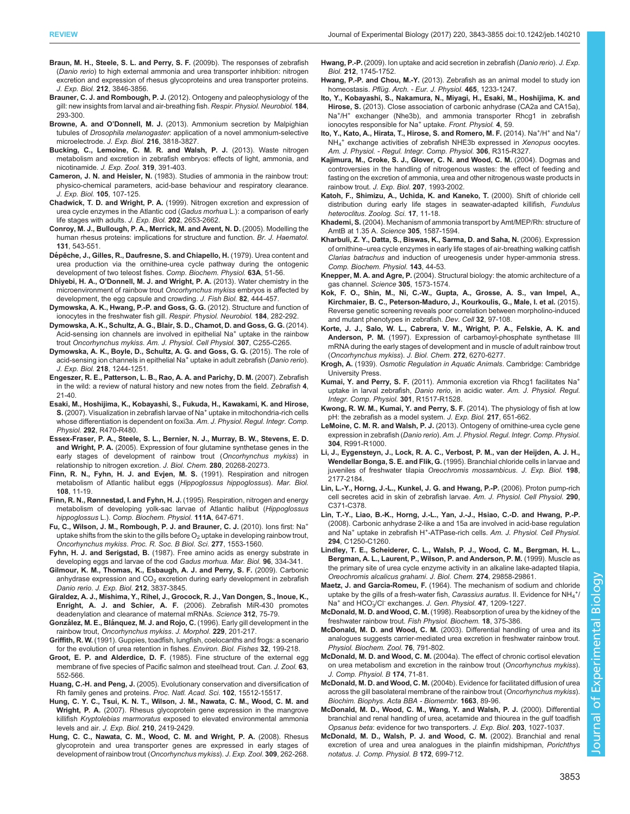- <span id="page-10-0"></span>[Braun, M. H., Steele, S. L. and Perry, S. F.](http://dx.doi.org/10.1242/jeb.034157) (2009b). The responses of zebrafish (Danio rerio[\) to high external ammonia and urea transporter inhibition: nitrogen](http://dx.doi.org/10.1242/jeb.034157) [excretion and expression of rhesus glycoproteins and urea transporter proteins.](http://dx.doi.org/10.1242/jeb.034157) J. Exp. Biol. 212[, 3846-3856.](http://dx.doi.org/10.1242/jeb.034157)
- Brauner, C. J. and Rombough, P. J. [\(2012\). Ontogeny and paleophysiology of the](http://dx.doi.org/10.1016/j.resp.2012.07.011) [gill: new insights from larval and air-breathing fish.](http://dx.doi.org/10.1016/j.resp.2012.07.011) Respir. Physiol. Neurobiol. 184, [293-300.](http://dx.doi.org/10.1016/j.resp.2012.07.011)
- Browne, A. and O'Donnell, M. J. [\(2013\). Ammonium secretion by Malpighian](http://dx.doi.org/10.1242/jeb.091082) tubules of Drosophila melanogaster[: application of a novel ammonium-selective](http://dx.doi.org/10.1242/jeb.091082) [microelectrode.](http://dx.doi.org/10.1242/jeb.091082) J. Exp. Biol. 216, 3818-3827.
- [Bucking, C., Lemoine, C. M. R. and Walsh, P. J.](http://dx.doi.org/10.1002/jez.1802) (2013). Waste nitrogen [metabolism and excretion in zebrafish embryos: effects of light, ammonia, and](http://dx.doi.org/10.1002/jez.1802) [nicotinamide.](http://dx.doi.org/10.1002/jez.1802) J. Exp. Zool. 319, 391-403.
- Cameron, J. N. and Heisler, N. (1983). Studies of ammonia in the rainbow trout: physico-chemical parameters, acid-base behaviour and respiratory clearance. J. Exp. Biol. 105, 107-125.
- Chadwick, T. D. and Wright, P. A. (1999). Nitrogen excretion and expression of urea cycle enzymes in the Atlantic cod (Gadus morhua L.): a comparison of early life stages with adults. J. Exp. Biol. 202, 2653-2662.
- [Conroy, M. J., Bullough, P. A., Merrick, M. and Avent, N. D.](http://dx.doi.org/10.1111/j.1365-2141.2005.05786.x) (2005). Modelling the [human rhesus proteins: implications for structure and function.](http://dx.doi.org/10.1111/j.1365-2141.2005.05786.x) Br. J. Haematol. 131[, 543-551.](http://dx.doi.org/10.1111/j.1365-2141.2005.05786.x)
- Dé[pêche, J., Gilles, R., Daufresne, S. and Chiapello, H.](http://dx.doi.org/10.1016/0300-9629(79)90626-1) (1979). Urea content and [urea production via the ornithine-urea cycle pathway during the ontogenic](http://dx.doi.org/10.1016/0300-9629(79)90626-1) [development of two teleost fishes.](http://dx.doi.org/10.1016/0300-9629(79)90626-1) Comp. Biochem. Physiol. 63A, 51-56.
- Dhiyebi, H. A., O'[Donnell, M. J. and Wright, P. A.](http://dx.doi.org/10.1111/j.1095-8649.2012.03491.x) (2013). Water chemistry in the [microenvironment of rainbow trout](http://dx.doi.org/10.1111/j.1095-8649.2012.03491.x) Oncorhynchus mykiss embryos is affected by [development, the egg capsule and crowding.](http://dx.doi.org/10.1111/j.1095-8649.2012.03491.x) J. Fish Biol. 82, 444-457.
- [Dymowska, A. K., Hwang, P.-P. and Goss, G. G.](http://dx.doi.org/10.1016/j.resp.2012.08.025) (2012). Structure and function of [ionocytes in the freshwater fish gill.](http://dx.doi.org/10.1016/j.resp.2012.08.025) Respir. Physiol. Neurobiol. 184, 282-292.
- [Dymowska, A. K., Schultz, A. G., Blair, S. D., Chamot, D. and Goss, G. G.](http://dx.doi.org/10.1152/ajpcell.00398.2013) (2014). [Acid-sensing ion channels are involved in epithelial Na](http://dx.doi.org/10.1152/ajpcell.00398.2013)<sup>+</sup> [uptake in the rainbow](http://dx.doi.org/10.1152/ajpcell.00398.2013) trout Oncorhynchus mykiss. [Am. J. Physiol. Cell Physiol.](http://dx.doi.org/10.1152/ajpcell.00398.2013) 307, C255-C265.
- [Dymowska, A. K., Boyle, D., Schultz, A. G. and Goss, G. G.](http://dx.doi.org/10.1242/jeb.113118) (2015). The role of [acid-sensing](http://dx.doi.org/10.1242/jeb.113118) [ion](http://dx.doi.org/10.1242/jeb.113118) [channels](http://dx.doi.org/10.1242/jeb.113118) [in](http://dx.doi.org/10.1242/jeb.113118) [epithelial](http://dx.doi.org/10.1242/jeb.113118) [Na](http://dx.doi.org/10.1242/jeb.113118)<sup>+</sup> [uptake in adult zebrafish \(](http://dx.doi.org/10.1242/jeb.113118)Danio rerio). J. Exp. Biol. 218[, 1244-1251.](http://dx.doi.org/10.1242/jeb.113118)
- [Engeszer, R. E., Patterson, L. B., Rao, A. A. and Parichy, D. M.](http://dx.doi.org/10.1089/zeb.2006.9997) (2007). Zebrafish [in the wild: a review of natural history and new notes from the field.](http://dx.doi.org/10.1089/zeb.2006.9997) Zebrafish 4, [21-40.](http://dx.doi.org/10.1089/zeb.2006.9997)
- [Esaki, M., Hoshijima, K., Kobayashi, S., Fukuda, H., Kawakami, K. and Hirose,](http://dx.doi.org/10.1152/ajpregu.00200.2006) S. [\(2007\).](http://dx.doi.org/10.1152/ajpregu.00200.2006) [Visualization](http://dx.doi.org/10.1152/ajpregu.00200.2006) [in](http://dx.doi.org/10.1152/ajpregu.00200.2006) [zebrafish](http://dx.doi.org/10.1152/ajpregu.00200.2006) [larvae](http://dx.doi.org/10.1152/ajpregu.00200.2006) [of](http://dx.doi.org/10.1152/ajpregu.00200.2006) [Na](http://dx.doi.org/10.1152/ajpregu.00200.2006)<sup>+</sup> [uptake in mitochondria-rich cells](http://dx.doi.org/10.1152/ajpregu.00200.2006) [whose differentiation is dependent on foxi3a.](http://dx.doi.org/10.1152/ajpregu.00200.2006) Am. J. Physiol. Regul. Integr. Comp. Physiol. 292[, R470-R480.](http://dx.doi.org/10.1152/ajpregu.00200.2006)
- [Essex-Fraser, P. A., Steele, S. L., Bernier, N. J., Murray, B. W., Stevens, E. D.](http://dx.doi.org/10.1074/jbc.M412338200) and Wright, P. A. [\(2005\). Expression of four glutamine synthetase genes in the](http://dx.doi.org/10.1074/jbc.M412338200) [early stages of development of rainbow trout \(](http://dx.doi.org/10.1074/jbc.M412338200)Oncorhynchus mykiss) in [relationship to nitrogen excretion.](http://dx.doi.org/10.1074/jbc.M412338200) J. Biol. Chem. 280, 20268-20273.
- [Finn, R. N., Fyhn, H. J. and Evjen, M. S.](http://dx.doi.org/10.1007/BF01313466) (1991). Respiration and nitrogen [metabolism of Atlantic halibut eggs \(](http://dx.doi.org/10.1007/BF01313466)Hippoglossus hippoglossus). Mar. Biol. 108[, 11-19.](http://dx.doi.org/10.1007/BF01313466)
- [Finn, R. N., Rønnestad, I. and Fyhn, H. J.](http://dx.doi.org/10.1016/0300-9629(95)00048-C) (1995). Respiration, nitrogen and energy [metabolism of developing yolk-sac larvae of Atlantic halibut \(](http://dx.doi.org/10.1016/0300-9629(95)00048-C)Hippoglossus hippoglossus L.). [Comp. Biochem. Physiol.](http://dx.doi.org/10.1016/0300-9629(95)00048-C) 111A, 647-671.
- [Fu,](http://dx.doi.org/10.1098/rspb.2009.1545) [C.,](http://dx.doi.org/10.1098/rspb.2009.1545) [Wilson,](http://dx.doi.org/10.1098/rspb.2009.1545) [J.](http://dx.doi.org/10.1098/rspb.2009.1545) [M.,](http://dx.doi.org/10.1098/rspb.2009.1545) [Rombough,](http://dx.doi.org/10.1098/rspb.2009.1545) [P.](http://dx.doi.org/10.1098/rspb.2009.1545) [J.](http://dx.doi.org/10.1098/rspb.2009.1545) [and](http://dx.doi.org/10.1098/rspb.2009.1545) [Brauner,](http://dx.doi.org/10.1098/rspb.2009.1545) [C.](http://dx.doi.org/10.1098/rspb.2009.1545) [J.](http://dx.doi.org/10.1098/rspb.2009.1545) (2010). Ions first: Na<sup>+</sup> uptake shifts from the skin to the gills before  $O<sub>2</sub>$  [uptake in developing rainbow trout,](http://dx.doi.org/10.1098/rspb.2009.1545) Oncorhynchus mykiss. [Proc. R. Soc. B Biol. Sci.](http://dx.doi.org/10.1098/rspb.2009.1545) 277, 1553-1560.
- Fyhn, H. J. and Serigstad, B. [\(1987\). Free amino acids as energy substrate in](http://dx.doi.org/10.1007/BF00412514) [developing eggs and larvae of the cod](http://dx.doi.org/10.1007/BF00412514) Gadus morhua. Mar. Biol. 96, 334-341.
- [Gilmour, K. M., Thomas, K., Esbaugh, A. J. and Perry, S. F.](http://dx.doi.org/10.1242/jeb.034116) (2009). Carbonic anhydrase expression and  $CO<sub>2</sub>$  [excretion during early development in zebrafish](http://dx.doi.org/10.1242/jeb.034116) Danio rerio. J. Exp. Biol. 212[, 3837-3845.](http://dx.doi.org/10.1242/jeb.034116)
- [Giraldez, A. J., Mishima, Y., Rihel, J., Grocock, R. J., Van Dongen, S., Inoue, K.,](http://dx.doi.org/10.1126/science.1122689) Enright, A. J. and Schier, A. F. [\(2006\). Zebrafish MiR-430 promotes](http://dx.doi.org/10.1126/science.1122689) [deadenylation and clearance of maternal mRNAs.](http://dx.doi.org/10.1126/science.1122689) Science 312, 75-79.
- González, M. E., Blánquez, M. J. and Rojo, C. [\(1996\). Early gill development in the](http://dx.doi.org/10.1002/(SICI)1097-4687(199608)229:2%3C201::AID-JMOR5%3E3.0.CO;2-3) rainbow trout, [Oncorhynchus mykiss](http://dx.doi.org/10.1002/(SICI)1097-4687(199608)229:2%3C201::AID-JMOR5%3E3.0.CO;2-3). J. Morphol. 229, 201-217.
- Griffith, R. W. [\(1991\). Guppies, toadfish, lungfish, coelocanths and frogs: a scenario](http://dx.doi.org/10.1007/BF00007454) [for the evolution of urea retention in fishes.](http://dx.doi.org/10.1007/BF00007454) Environ. Biol. Fishes 32, 199-218.
- Groot, E. P. and Alderdice, D. F. [\(1985\). Fine structure of the external egg](http://dx.doi.org/10.1139/z85-082) [membrane of five species of Pacific salmon and steelhead trout.](http://dx.doi.org/10.1139/z85-082) Can. J. Zool. 63, [552-566.](http://dx.doi.org/10.1139/z85-082)
- Huang, C.-H. and Peng, J. [\(2005\). Evolutionary conservation and diversification of](http://dx.doi.org/10.1073/pnas.0507886102) [Rh family genes and proteins.](http://dx.doi.org/10.1073/pnas.0507886102) Proc. Natl. Acad. Sci. 102, 15512-15517.
- [Hung, C. Y. C., Tsui, K. N. T., Wilson, J. M., Nawata, C. M., Wood, C. M. and](http://dx.doi.org/10.1242/jeb.002568) Wright, P. A. [\(2007\). Rhesus glycoprotein gene expression in the mangrove](http://dx.doi.org/10.1242/jeb.002568) killifish Kryptolebias marmoratus [exposed to elevated environmental ammonia](http://dx.doi.org/10.1242/jeb.002568) [levels and air.](http://dx.doi.org/10.1242/jeb.002568) J. Exp. Biol. 210, 2419-2429.
- [Hung, C. C., Nawata, C. M., Wood, C. M. and Wright, P. A.](http://dx.doi.org/10.1002/jez.456) (2008). Rhesus [glycoprotein and urea transporter genes are expressed in early stages of](http://dx.doi.org/10.1002/jez.456) [development of rainbow trout \(](http://dx.doi.org/10.1002/jez.456)Oncorhynchus mykiss). J. Exp. Zool. 309, 262-268.
- Hwang, P.-P. [\(2009\). Ion uptake and acid secretion in zebrafish \(](http://dx.doi.org/10.1242/jeb.026054)Danio rerio). J. Exp. Biol. 212[, 1745-1752.](http://dx.doi.org/10.1242/jeb.026054)
- Hwang, P.-P. and Chou, M.-Y. [\(2013\). Zebrafish as an animal model to study ion](http://dx.doi.org/10.1007/s00424-013-1269-1) homeostasis. Pflü[g. Arch. - Eur. J. Physiol.](http://dx.doi.org/10.1007/s00424-013-1269-1) 465, 1233-1247.
- [Ito, Y., Kobayashi, S., Nakamura, N., Miyagi, H., Esaki, M., Hoshijima, K. and](http://dx.doi.org/10.3389/fphys.2013.00059) Hirose, S. [\(2013\). Close association of carbonic anhydrase \(CA2a and CA15a\),](http://dx.doi.org/10.3389/fphys.2013.00059) [Na](http://dx.doi.org/10.3389/fphys.2013.00059)<sup>+</sup>/H<sup>+</sup> [exchanger \(Nhe3b\), and ammonia transporter Rhcg1 in zebrafish](http://dx.doi.org/10.3389/fphys.2013.00059) [ionocytes](http://dx.doi.org/10.3389/fphys.2013.00059) [responsible](http://dx.doi.org/10.3389/fphys.2013.00059) [for](http://dx.doi.org/10.3389/fphys.2013.00059) [Na](http://dx.doi.org/10.3389/fphys.2013.00059)<sup>+</sup> uptake. [Front. Physiol.](http://dx.doi.org/10.3389/fphys.2013.00059) 4, 59.
- [Ito, Y., Kato, A., Hirata, T., Hirose, S. and Romero, M. F.](http://dx.doi.org/10.1152/ajpregu.00363.2013) (2014). Na<sup>+</sup>/H<sup>+</sup> [and Na](http://dx.doi.org/10.1152/ajpregu.00363.2013)<sup>+</sup>/ NH<sub>4</sub><sup>[+](http://dx.doi.org/10.1152/ajpregu.00363.2013)</sup> [exchange activities of zebrafish NHE3b expressed in](http://dx.doi.org/10.1152/ajpregu.00363.2013) Xenopus oocytes. [Am. J. Physiol. - Regul. Integr. Comp. Physiol.](http://dx.doi.org/10.1152/ajpregu.00363.2013) 306, R315-R327.
- [Kajimura, M., Croke, S. J., Glover, C. N. and Wood, C. M.](http://dx.doi.org/10.1242/jeb.00901) (2004). Dogmas and [controversies in the handling of nitrogenous wastes: the effect of feeding and](http://dx.doi.org/10.1242/jeb.00901) [fasting on the excretion of ammonia, urea and other nitrogenous waste products in](http://dx.doi.org/10.1242/jeb.00901) [rainbow trout.](http://dx.doi.org/10.1242/jeb.00901) J. Exp. Biol. 207, 1993-2002.
- [Katoh, F., Shimizu, A., Uchida, K. and Kaneko, T.](http://dx.doi.org/10.2108/zsj.17.11) (2000). Shift of chloride cell [distribution during early life stages in seawater-adapted killifish,](http://dx.doi.org/10.2108/zsj.17.11) Fundulus heteroclitus. [Zoolog. Sci.](http://dx.doi.org/10.2108/zsj.17.11) 17, 11-18.
- Khademi, S. [\(2004\). Mechanism of ammonia transport by Amt/MEP/Rh: structure of](http://dx.doi.org/10.1126/science.1101952) [AmtB at 1.35 A.](http://dx.doi.org/10.1126/science.1101952) Science 305, 1587-1594.
- [Kharbuli, Z. Y., Datta, S., Biswas, K., Sarma, D. and Saha, N.](http://dx.doi.org/10.1016/j.cbpb.2005.09.014) (2006). Expression of ornithine–[urea cycle enzymes in early life stages of air-breathing walking catfish](http://dx.doi.org/10.1016/j.cbpb.2005.09.014) Clarias batrachus [and induction of ureogenesis under hyper-ammonia stress.](http://dx.doi.org/10.1016/j.cbpb.2005.09.014) [Comp. Biochem. Physiol.](http://dx.doi.org/10.1016/j.cbpb.2005.09.014) 143, 44-53.
- Knepper, M. A. and Agre, P. [\(2004\). Structural biology: the atomic architecture of a](http://dx.doi.org/10.1126/science.1103191) [gas channel.](http://dx.doi.org/10.1126/science.1103191) Science 305, 1573-1574.
- [Kok, F. O., Shin, M., Ni, C.-W., Gupta, A., Grosse, A. S., van Impel, A.,](http://dx.doi.org/10.1016/j.devcel.2014.11.018) [Kirchmaier, B. C., Peterson-Maduro, J., Kourkoulis, G., Male, I. et al.](http://dx.doi.org/10.1016/j.devcel.2014.11.018) (2015). [Reverse genetic screening reveals poor correlation between morpholino-induced](http://dx.doi.org/10.1016/j.devcel.2014.11.018) [and mutant phenotypes in zebrafish.](http://dx.doi.org/10.1016/j.devcel.2014.11.018) Dev. Cell 32, 97-108.
- [Korte, J. J., Salo, W. L., Cabrera, V. M., Wright, P. A., Felskie, A. K. and](http://dx.doi.org/10.1074/jbc.272.10.6270) Anderson, P. M. [\(1997\). Expression of carbamoyl-phosphate synthetase III](http://dx.doi.org/10.1074/jbc.272.10.6270) [mRNA during the early stages of development and in muscle of adult rainbow trout](http://dx.doi.org/10.1074/jbc.272.10.6270) ([Oncorhynchus mykiss](http://dx.doi.org/10.1074/jbc.272.10.6270)). J. Biol. Chem. 272, 6270-6277.
- Krogh, A. (1939). Osmotic Regulation in Aquatic Animals. Cambridge: Cambridge University Press.
- Kumai, Y. and Perry, S. F. [\(2011\).](http://dx.doi.org/10.1152/ajpregu.00282.2011) [Ammonia](http://dx.doi.org/10.1152/ajpregu.00282.2011) [excretion](http://dx.doi.org/10.1152/ajpregu.00282.2011) [via](http://dx.doi.org/10.1152/ajpregu.00282.2011) [Rhcg1](http://dx.doi.org/10.1152/ajpregu.00282.2011) [facilitates](http://dx.doi.org/10.1152/ajpregu.00282.2011) [Na](http://dx.doi.org/10.1152/ajpregu.00282.2011)<sup>+</sup> [uptake in larval zebrafish,](http://dx.doi.org/10.1152/ajpregu.00282.2011) Danio rerio, in acidic water. Am. J. Physiol. Regul. [Integr. Comp. Physiol.](http://dx.doi.org/10.1152/ajpregu.00282.2011) 301, R1517-R1528.
- [Kwong, R. W. M., Kumai, Y. and Perry, S. F.](http://dx.doi.org/10.1242/jeb.091603) (2014). The physiology of fish at low [pH: the zebrafish as a model system.](http://dx.doi.org/10.1242/jeb.091603) J. Exp. Biol. 217, 651-662.
- LeMoine, C. M. R. and Walsh, P. J. [\(2013\). Ontogeny of ornithine-urea cycle gene](http://dx.doi.org/10.1152/ajpregu.00411.2012) expression in zebrafish (Danio rerio). [Am. J. Physiol. Regul. Integr. Comp. Physiol.](http://dx.doi.org/10.1152/ajpregu.00411.2012) 304[, R991-R1000.](http://dx.doi.org/10.1152/ajpregu.00411.2012)
- Li, J., Eygensteyn, J., Lock, R. A. C., Verbost, P. M., van der Heijden, A. J. H., Wendellar Bonga, S. E. and Flik, G. (1995). Branchial chloride cells in larvae and juveniles of freshwater tilapia Oreochromis mossambicus. J. Exp. Biol. 198, 2177-2184.
- [Lin, L.-Y., Horng, J.-L., Kunkel, J. G. and Hwang, P.-P.](http://dx.doi.org/10.1152/ajpcell.00281.2005) (2006). Proton pump-rich [cell secretes acid in skin of zebrafish larvae.](http://dx.doi.org/10.1152/ajpcell.00281.2005) Am. J. Physiol. Cell Physiol. 290, [C371-C378.](http://dx.doi.org/10.1152/ajpcell.00281.2005)
- [Lin, T.-Y., Liao, B.-K., Horng, J.-L., Yan, J.-J., Hsiao, C.-D. and Hwang, P.-P.](http://dx.doi.org/10.1152/ajpcell.00021.2008) [\(2008\). Carbonic anhydrase 2-like a and 15a are involved in acid-base regulation](http://dx.doi.org/10.1152/ajpcell.00021.2008) [and Na](http://dx.doi.org/10.1152/ajpcell.00021.2008)<sup>+</sup> [uptake in zebrafish H](http://dx.doi.org/10.1152/ajpcell.00021.2008)<sup>+</sup>-ATPase-rich cells. [Am. J. Physiol. Cell Physiol.](http://dx.doi.org/10.1152/ajpcell.00021.2008) 294[, C1250-C1260.](http://dx.doi.org/10.1152/ajpcell.00021.2008)
- [Lindley, T. E., Scheiderer, C. L., Walsh, P. J., Wood, C. M., Bergman, H. L.,](http://dx.doi.org/10.1074/jbc.274.42.29858) [Bergman, A. L., Laurent, P., Wilson, P. and Anderson, P. M.](http://dx.doi.org/10.1074/jbc.274.42.29858) (1999). Muscle as [the primary site of urea cycle enzyme activity in an alkaline lake-adapted tilapia,](http://dx.doi.org/10.1074/jbc.274.42.29858) [Oreochromis alcalicus grahami](http://dx.doi.org/10.1074/jbc.274.42.29858). J. Biol. Chem. 274, 29858-29861.
- Maetz, J. and Garcia-Romeu, F. [\(1964\). The mechanism of sodium and chloride](http://dx.doi.org/10.1085/jgp.47.6.1209) [uptake by the gills of a fresh-water fish,](http://dx.doi.org/10.1085/jgp.47.6.1209) Carassius auratus. II. Evidence for NH<sub>4</sub>[+/](http://dx.doi.org/10.1085/jgp.47.6.1209) [Na](http://dx.doi.org/10.1085/jgp.47.6.1209)<sup>+</sup> and HCO<sub>3</sub>[/Cl](http://dx.doi.org/10.1085/jgp.47.6.1209)<sup>-</sup> exchanges. [J. Gen. Physiol.](http://dx.doi.org/10.1085/jgp.47.6.1209) 47, 1209-1227.
- McDonald, M. D. and Wood, C. M. [\(1998\). Reabsorption of urea by the kidney of the](http://dx.doi.org/10.1023/A:1007722318812) [freshwater rainbow trout.](http://dx.doi.org/10.1023/A:1007722318812) Fish Physiol. Biochem. 18, 375-386.
- McDonald, M. D. and Wood, C. M. [\(2003\). Differential handling of urea and its](http://dx.doi.org/10.1086/378919) [analogues suggests carrier-mediated urea excretion in freshwater rainbow trout.](http://dx.doi.org/10.1086/378919) [Physiol. Biochem. Zool.](http://dx.doi.org/10.1086/378919) 76, 791-802.
- McDonald, M. D. and Wood, C. M. [\(2004a\). The effect of chronic cortisol elevation](http://dx.doi.org/10.1007/s00360-003-0390-4) [on urea metabolism and excretion in the rainbow trout \(](http://dx.doi.org/10.1007/s00360-003-0390-4)Oncorhynchus mykiss). [J. Comp. Physiol. B](http://dx.doi.org/10.1007/s00360-003-0390-4) 174, 71-81.
- McDonald, M. D. and Wood, C. M. [\(2004b\). Evidence for facilitated diffusion of urea](http://dx.doi.org/10.1016/j.bbamem.2004.02.009) [across the gill basolateral membrane of the rainbow trout \(](http://dx.doi.org/10.1016/j.bbamem.2004.02.009)Oncorhynchus mykiss). [Biochim. Biophys. Acta BBA - Biomembr.](http://dx.doi.org/10.1016/j.bbamem.2004.02.009) 1663, 89-96.
- McDonald, M. D., Wood, C. M., Wang, Y. and Walsh, P. J. (2000). Differential branchial and renal handling of urea, acetamide and thiourea in the gulf toadfish Opsanus beta: evidence for two transporters. J. Exp. Biol. 203, 1027-1037.
- [McDonald, M. D., Walsh, P. J. and Wood, C. M.](http://dx.doi.org/10.1007/s00360-002-0299-3) (2002). Branchial and renal [excretion of urea and urea analogues in the plainfin midshipman,](http://dx.doi.org/10.1007/s00360-002-0299-3) Porichthys notatus. [J. Comp. Physiol. B](http://dx.doi.org/10.1007/s00360-002-0299-3) 172, 699-712.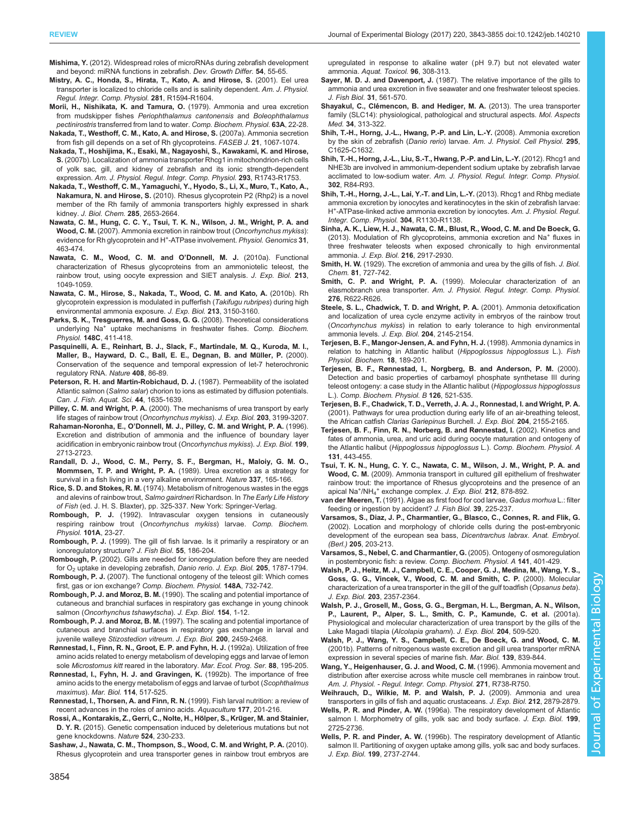<span id="page-11-0"></span>Mishima, Y. [\(2012\). Widespread roles of microRNAs during zebrafish development](http://dx.doi.org/10.1111/j.1440-169X.2011.01306.x) [and beyond: miRNA functions in zebrafish.](http://dx.doi.org/10.1111/j.1440-169X.2011.01306.x) Dev. Growth Differ. 54, 55-65.

- Mistry, A. C., Honda, S., Hirata, T., Kato, A. and Hirose, S. (2001). Eel urea transporter is localized to chloride cells and is salinity dependent. Am. J. Physiol. Regul. Integr. Comp. Physiol. 281, R1594-R1604.
- Morii, H., Nishikata, K. and Tamura, O. (1979). Ammonia and urea excretion from mudskipper fishes Periophthalamus cantonensis and Boleophthalamus pectinirostris transferred from land to water. Comp. Biochem. Physiol. 63A, 22-28.
- [Nakada, T., Westhoff, C. M., Kato, A. and Hirose, S.](http://dx.doi.org/10.1096/fj.06-6834com) (2007a). Ammonia secretion [from fish gill depends on a set of Rh glycoproteins.](http://dx.doi.org/10.1096/fj.06-6834com) FASEB J. 21, 1067-1074.
- [Nakada, T., Hoshijima, K., Esaki, M., Nagayoshi, S., Kawakami, K. and Hirose,](http://dx.doi.org/10.1152/ajpregu.00248.2007) S. [\(2007b\). Localization of ammonia transporter Rhcg1 in mitochondrion-rich cells](http://dx.doi.org/10.1152/ajpregu.00248.2007) [of yolk sac, gill, and kidney of zebrafish and its ionic strength-dependent](http://dx.doi.org/10.1152/ajpregu.00248.2007) expression. [Am. J. Physiol. Regul. Integr. Comp. Physiol.](http://dx.doi.org/10.1152/ajpregu.00248.2007) 293, R1743-R1753.
- [Nakada, T., Westhoff, C. M., Yamaguchi, Y., Hyodo, S., Li, X., Muro, T., Kato, A.,](http://dx.doi.org/10.1074/jbc.M109.052068) Nakamura, N. and Hirose, S. [\(2010\). Rhesus glycoprotein P2 \(Rhp2\) is a novel](http://dx.doi.org/10.1074/jbc.M109.052068) [member of the Rh family of ammonia transporters highly expressed in shark](http://dx.doi.org/10.1074/jbc.M109.052068) kidney. [J. Biol. Chem.](http://dx.doi.org/10.1074/jbc.M109.052068) 285, 2653-2664.
- [Nawata, C. M., Hung, C. C. Y., Tsui, T. K. N., Wilson, J. M., Wright, P. A. and](http://dx.doi.org/10.1152/physiolgenomics.00061.2007) Wood, C. M. [\(2007\). Ammonia excretion in rainbow trout \(](http://dx.doi.org/10.1152/physiolgenomics.00061.2007)Oncorhynchus mykiss): [evidence](http://dx.doi.org/10.1152/physiolgenomics.00061.2007) [for](http://dx.doi.org/10.1152/physiolgenomics.00061.2007) [Rh](http://dx.doi.org/10.1152/physiolgenomics.00061.2007) [glycoprotein](http://dx.doi.org/10.1152/physiolgenomics.00061.2007) [and](http://dx.doi.org/10.1152/physiolgenomics.00061.2007) [H](http://dx.doi.org/10.1152/physiolgenomics.00061.2007)<sup>+</sup>[-ATPase involvement.](http://dx.doi.org/10.1152/physiolgenomics.00061.2007) Physiol. Genomics 31, [463-474.](http://dx.doi.org/10.1152/physiolgenomics.00061.2007)
- [Nawata, C. M., Wood, C. M. and O](http://dx.doi.org/10.1242/jeb.038752)'Donnell, M. J. (2010a). Functional [characterization of Rhesus glycoproteins from an ammoniotelic teleost, the](http://dx.doi.org/10.1242/jeb.038752) [rainbow trout, using oocyte expression and SIET analysis.](http://dx.doi.org/10.1242/jeb.038752) J. Exp. Biol. 213, [1049-1059.](http://dx.doi.org/10.1242/jeb.038752)
- [Nawata, C. M., Hirose, S., Nakada, T., Wood, C. M. and Kato, A.](http://dx.doi.org/10.1242/jeb.044719) (2010b). Rh [glycoprotein expression is modulated in pufferfish \(](http://dx.doi.org/10.1242/jeb.044719)Takifugu rubripes) during high [environmental ammonia exposure.](http://dx.doi.org/10.1242/jeb.044719) J. Exp. Biol. 213, 3150-3160.
- [Parks, S. K., Tresguerres, M. and Goss, G. G.](http://dx.doi.org/10.1016/j.cbpc.2008.03.002) (2008). Theoretical considerations [underlying Na](http://dx.doi.org/10.1016/j.cbpc.2008.03.002)<sup>+</sup> [uptake mechanisms in freshwater fishes.](http://dx.doi.org/10.1016/j.cbpc.2008.03.002) Comp. Biochem. Physiol. 148C[, 411-418.](http://dx.doi.org/10.1016/j.cbpc.2008.03.002)
- [Pasquinelli, A. E., Reinhart, B. J., Slack, F., Martindale, M. Q., Kuroda, M. I.,](http://dx.doi.org/10.1038/35040556) Maller, B., Hayward, D. C., Ball, E. E., Degnan, B. and Müller, P. (2000). [Conservation of the sequence and temporal expression of let-7 heterochronic](http://dx.doi.org/10.1038/35040556) [regulatory RNA.](http://dx.doi.org/10.1038/35040556) Nature 408, 86-89.
- [Peterson, R. H. and Martin-Robichaud, D. J.](http://dx.doi.org/10.1139/f87-198) (1987). Permeability of the isolated Atlantic salmon (Salmo salar[\) chorion to ions as estimated by diffusion potentials.](http://dx.doi.org/10.1139/f87-198) [Can. J. Fish. Aquat. Sci.](http://dx.doi.org/10.1139/f87-198) 44, 1635-1639.
- Pilley, C. M. and Wright, P. A. (2000). The mechanisms of urea transport by early life stages of rainbow trout (Oncorhynchus mykiss). J. Exp. Biol. 203, 3199-3207.
- Rahaman-Noronha, E., O'Donnell, M. J., Pilley, C. M. and Wright, P. A. (1996). Excretion and distribution of ammonia and the influence of boundary layer acidification in embryonic rainbow trout (Oncorhynchus mykiss). J. Exp. Biol. 199, 2713-2723.
- [Randall, D. J., Wood, C. M., Perry, S. F., Bergman, H., Maloiy, G. M. O.,](http://dx.doi.org/10.1038/337165a0) Mommsen, T. P. and Wright, P. A. [\(1989\). Urea excretion as a strategy for](http://dx.doi.org/10.1038/337165a0) [survival in a fish living in a very alkaline environment.](http://dx.doi.org/10.1038/337165a0) Nature 337, 165-166.
- Rice, S. D. and Stokes, R. M. (1974). Metabolism of nitrogenous wastes in the eggs and alevins of rainbow trout, Salmo gairdneri Richardson. In The Early Life History of Fish (ed. J. H. S. Blaxter), pp. 325-337. New York: Springer-Verlag.
- Rombough, P. J. [\(1992\). Intravascular oxygen tensions in cutaneously](http://dx.doi.org/10.1016/0300-9629(92)90622-W) [respiring rainbow trout \(](http://dx.doi.org/10.1016/0300-9629(92)90622-W)Oncorhynchus mykiss) larvae. Comp. Biochem. [Physiol.](http://dx.doi.org/10.1016/0300-9629(92)90622-W) 101A, 23-27.
- Rombough, P. J. [\(1999\). The gill of fish larvae. Is it primarily a respiratory or an](http://dx.doi.org/10.1111/j.1095-8649.1999.tb01055.x) [ionoregulatory structure?](http://dx.doi.org/10.1111/j.1095-8649.1999.tb01055.x) J. Fish Biol. 55, 186-204.
- Rombough, P. (2002). Gills are needed for ionoregulation before they are needed for O2 uptake in developing zebrafish, Danio rerio. J. Exp. Biol. 205, 1787-1794.
- Rombough, P. J. [\(2007\). The functional ontogeny of the teleost gill: Which comes](http://dx.doi.org/10.1016/j.cbpa.2007.03.007) [first, gas or ion exchange?](http://dx.doi.org/10.1016/j.cbpa.2007.03.007) Comp. Biochem. Physiol. 148A, 732-742.
- Rombough, P. J. and Moroz, B. M. (1990). The scaling and potential importance of cutaneous and branchial surfaces in respiratory gas exchange in young chinook salmon (Oncorhynchus tshawytscha). J. Exp. Biol. 154, 1-12.
- Rombough, P. J. and Moroz, B. M. (1997). The scaling and potential importance of cutaneous and branchial surfaces in respiratory gas exchange in larval and juvenile walleye Stizostedion vitreum. J. Exp. Biol. 200, 2459-2468.
- [Rønnestad, I., Finn, R. N., Groot, E. P. and Fyhn, H. J.](http://dx.doi.org/10.3354/meps088195) (1992a). Utilization of free [amino acids related to energy metabolism of developing eggs and larvae of lemon](http://dx.doi.org/10.3354/meps088195) sole Microstomus kitt [reared in the laboratory.](http://dx.doi.org/10.3354/meps088195) Mar. Ecol. Prog. Ser. 88, 195-205.
- [Rønnestad, I., Fyhn, H. J. and Gravingen, K.](http://dx.doi.org/10.1007/BF00357249) (1992b). The importance of free [amino acids to the energy metabolism of eggs and larvae of turbot \(](http://dx.doi.org/10.1007/BF00357249)Scophthalmus maximus). Mar. Biol. 114[, 517-525.](http://dx.doi.org/10.1007/BF00357249)
- [Rønnestad, I., Thorsen, A. and Finn, R. N.](http://dx.doi.org/10.1016/S0044-8486(99)00082-4) (1999). Fish larval nutrition: a review of [recent advances in the roles of amino acids.](http://dx.doi.org/10.1016/S0044-8486(99)00082-4) Aquaculture 177, 201-216.
- Rossi, A., Kontarakis, Z., Gerri, C., Nolte, H., Hölper, S., Krüger, M. and Stainier, D. Y. R. [\(2015\). Genetic compensation induced by deleterious mutations but not](http://dx.doi.org/10.1038/nature14580) [gene knockdowns.](http://dx.doi.org/10.1038/nature14580) Nature 524, 230-233.
- [Sashaw, J., Nawata, C. M., Thompson, S., Wood, C. M. and Wright, P. A.](http://dx.doi.org/10.1016/j.aquatox.2009.11.012) (2010). [Rhesus glycoprotein and urea transporter genes in rainbow trout embryos are](http://dx.doi.org/10.1016/j.aquatox.2009.11.012)

[upregulated in response to alkaline water \(pH 9.7\) but not elevated water](http://dx.doi.org/10.1016/j.aquatox.2009.11.012) ammonia. [Aquat. Toxicol.](http://dx.doi.org/10.1016/j.aquatox.2009.11.012) 96, 308-313.

- Sayer, M. D. J. and Davenport, J. [\(1987\). The relative importance of the gills to](http://dx.doi.org/10.1111/j.1095-8649.1987.tb05258.x) [ammonia and urea excretion in five seawater and one freshwater teleost species.](http://dx.doi.org/10.1111/j.1095-8649.1987.tb05258.x) [J. Fish Biol.](http://dx.doi.org/10.1111/j.1095-8649.1987.tb05258.x) 31, 561-570.
- Shayakul, C., Clé[mencon, B. and Hediger, M. A.](http://dx.doi.org/10.1016/j.mam.2012.12.003) (2013). The urea transporter [family \(SLC14\): physiological, pathological and structural aspects.](http://dx.doi.org/10.1016/j.mam.2012.12.003) Mol. Aspects Med. 34[, 313-322.](http://dx.doi.org/10.1016/j.mam.2012.12.003)
- [Shih, T.-H., Horng, J.-L., Hwang, P.-P. and Lin, L.-Y.](http://dx.doi.org/10.1152/ajpcell.00255.2008) (2008). Ammonia excretion by the skin of zebrafish (Danio rerio) larvae. [Am. J. Physiol. Cell Physiol.](http://dx.doi.org/10.1152/ajpcell.00255.2008) 295, [C1625-C1632.](http://dx.doi.org/10.1152/ajpcell.00255.2008)
- [Shih, T.-H., Horng, J.-L., Liu, S.-T., Hwang, P.-P. and Lin, L.-Y.](http://dx.doi.org/10.1152/ajpregu.00318.2011) (2012). Rhcg1 and [NHE3b are involved in ammonium-dependent sodium uptake by zebrafish larvae](http://dx.doi.org/10.1152/ajpregu.00318.2011) acclimated to low-sodium water. [Am. J. Physiol. Regul. Integr. Comp. Physiol.](http://dx.doi.org/10.1152/ajpregu.00318.2011) 302[, R84-R93.](http://dx.doi.org/10.1152/ajpregu.00318.2011)
- [Shih, T.-H., Horng, J.-L., Lai, Y.-T. and Lin, L.-Y.](http://dx.doi.org/10.1152/ajpregu.00550.2012) (2013). Rhcg1 and Rhbg mediate [ammonia excretion by ionocytes and keratinocytes in the skin of zebrafish larvae:](http://dx.doi.org/10.1152/ajpregu.00550.2012) [H](http://dx.doi.org/10.1152/ajpregu.00550.2012)<sup>+</sup>-ATPase-linked active ammonia excretion by ionocytes. Am. J. Physiol. Regul. [Integr. Comp. Physiol.](http://dx.doi.org/10.1152/ajpregu.00550.2012) 304, R1130-R1138.
- [Sinha, A. K., Liew, H. J., Nawata, C. M., Blust, R., Wood, C. M. and De Boeck, G.](http://dx.doi.org/10.1242/jeb.084574) [\(2013\).](http://dx.doi.org/10.1242/jeb.084574) [Modulation](http://dx.doi.org/10.1242/jeb.084574) [of](http://dx.doi.org/10.1242/jeb.084574) [Rh](http://dx.doi.org/10.1242/jeb.084574) [glycoproteins,](http://dx.doi.org/10.1242/jeb.084574) [ammonia](http://dx.doi.org/10.1242/jeb.084574) [excretion](http://dx.doi.org/10.1242/jeb.084574) [and](http://dx.doi.org/10.1242/jeb.084574) [Na](http://dx.doi.org/10.1242/jeb.084574)<sup>+</sup> [fluxes in](http://dx.doi.org/10.1242/jeb.084574) [three freshwater teleosts when exposed chronically to high environmental](http://dx.doi.org/10.1242/jeb.084574) ammonia. J. Exp. Biol. 216[, 2917-2930.](http://dx.doi.org/10.1242/jeb.084574)
- Smith, H. W. (1929). The excretion of ammonia and urea by the gills of fish. J. Biol. Chem. 81, 727-742.
- Smith, C. P. and Wright, P. A. (1999). Molecular characterization of an elasmobranch urea transporter. Am. J. Physiol. Regul. Integr. Comp. Physiol. 276, R622-R626.
- Steele, S. L., Chadwick, T. D. and Wright, P. A. (2001). Ammonia detoxification and localization of urea cycle enzyme activity in embryos of the rainbow trout (Oncorhynchus mykiss) in relation to early tolerance to high environmental ammonia levels. J. Exp. Biol. 204, 2145-2154.
- [Terjesen, B. F., Mangor-Jensen, A. and Fyhn, H. J.](http://dx.doi.org/10.1023/A:1007748424295) (1998). Ammonia dynamics in [relation to hatching in Atlantic halibut \(](http://dx.doi.org/10.1023/A:1007748424295)Hippoglossus hippoglossus L.). Fish [Physiol. Biochem.](http://dx.doi.org/10.1023/A:1007748424295) 18, 189-201.
- [Terjesen, B. F., Rønnestad, I., Norgberg, B. and Anderson, P. M.](http://dx.doi.org/10.1016/S0305-0491(00)00221-2) (2000). [Detection and basic properties of carbamoyl phosphate synthetase III during](http://dx.doi.org/10.1016/S0305-0491(00)00221-2) [teleost ontogeny: a case study in the Atlantic halibut \(](http://dx.doi.org/10.1016/S0305-0491(00)00221-2)Hippoglossus hippoglossus L.). [Comp. Biochem. Physiol. B](http://dx.doi.org/10.1016/S0305-0491(00)00221-2) 126, 521-535.
- Terjesen, B. F., Chadwick, T. D., Verreth, J. A. J., Ronnestad, I. and Wright, P. A. (2001). Pathways for urea production during early life of an air-breathing teleost, the African catfish Clarias Gariepinus Burchell. J. Exp. Biol. 204, 2155-2165.
- [Terjesen, B. F., Finn, R. N., Norberg, B. and Rønnestad, I.](http://dx.doi.org/10.1016/S1095-6433(01)00496-2) (2002). Kinetics and [fates of ammonia, urea, and uric acid during oocyte maturation and ontogeny of](http://dx.doi.org/10.1016/S1095-6433(01)00496-2) the Atlantic halibut ([Hippoglossus hippoglossus](http://dx.doi.org/10.1016/S1095-6433(01)00496-2) L.). Comp. Biochem. Physiol. A 131[, 443-455.](http://dx.doi.org/10.1016/S1095-6433(01)00496-2)
- [Tsui, T. K. N., Hung, C. Y. C., Nawata, C. M., Wilson, J. M., Wright, P. A. and](http://dx.doi.org/10.1242/jeb.021899) Wood, C. M. [\(2009\). Ammonia transport in cultured gill epithelium of freshwater](http://dx.doi.org/10.1242/jeb.021899) [rainbow trout: the importance of Rhesus glycoproteins and the presence of an](http://dx.doi.org/10.1242/jeb.021899) [apical Na](http://dx.doi.org/10.1242/jeb.021899)<sup>[+](http://dx.doi.org/10.1242/jeb.021899)</sup>/NH<sub>4</sub><sup>+</sup> [exchange complex.](http://dx.doi.org/10.1242/jeb.021899) J. Exp. Biol. 212, 878-892.
- van der Meeren, T. [\(1991\). Algae as first food for cod larvae,](http://dx.doi.org/10.1111/j.1095-8649.1991.tb04358.x) Gadus morhua L.: filter [feeding or ingestion by accident?](http://dx.doi.org/10.1111/j.1095-8649.1991.tb04358.x) J. Fish Biol. 39, 225-237.
- [Varsamos, S., Diaz, J. P., Charmantier, G., Blasco, C., Connes, R. and Flik, G.](http://dx.doi.org/10.1007/s00429-002-0231-3) [\(2002\). Location and morphology of chloride cells during the post-embryonic](http://dx.doi.org/10.1007/s00429-002-0231-3) [development of the european sea bass,](http://dx.doi.org/10.1007/s00429-002-0231-3) Dicentrarchus labrax. Anat. Embryol. (Berl.) 205[, 203-213.](http://dx.doi.org/10.1007/s00429-002-0231-3)
- [Varsamos, S., Nebel, C. and Charmantier, G.](http://dx.doi.org/10.1016/j.cbpb.2005.01.013) (2005). Ontogeny of osmoregulation [in postembryonic fish: a review.](http://dx.doi.org/10.1016/j.cbpb.2005.01.013) Comp. Biochem. Physiol. A 141, 401-429.
- Walsh, P. J., Heitz, M. J., Campbell, C. E., Cooper, G. J., Medina, M., Wang, Y. S., Goss, G. G., Vincek, V., Wood, C. M. and Smith, C. P. (2000). Molecular characterization of a urea transporter in the gill of the gulf toadfish (Opsanus beta). J. Exp. Biol. 203, 2357-2364.
- Walsh, P. J., Grosell, M., Goss, G. G., Bergman, H. L., Bergman, A. N., Wilson, P., Laurent, P., Alper, S. L., Smith, C. P., Kamunde, C. et al. (2001a). Physiological and molecular characterization of urea transport by the gills of the Lake Magadi tilapia (Alcolapia grahami). J. Exp. Biol. 204, 509-520.
- [Walsh, P. J., Wang, Y. S., Campbell, C. E., De Boeck, G. and Wood, C. M.](http://dx.doi.org/10.1007/s002270100639) [\(2001b\). Patterns of nitrogenous waste excretion and gill urea transporter mRNA](http://dx.doi.org/10.1007/s002270100639) [expression in several species of marine fish.](http://dx.doi.org/10.1007/s002270100639) Mar. Biol. 139, 839-844.
- Wang, Y., Heigenhauser, G. J. and Wood, C. M. (1996). Ammonia movement and distribution after exercise across white muscle cell membranes in rainbow trout. Am. J. Physiol. - Regul. Integr. Comp. Physiol. 271, R738-R750.
- [Weihrauch, D., Wilkie, M. P. and Walsh, P. J.](http://dx.doi.org/10.1242/jeb.036103) (2009). Ammonia and urea [transporters in gills of fish and aquatic crustaceans.](http://dx.doi.org/10.1242/jeb.036103) J. Exp. Biol. 212, 2879-2879.
- Wells, P. R. and Pinder, A. W. (1996a). The respiratory development of Atlantic salmon I. Morphometry of gills, yolk sac and body surface. J. Exp. Biol. 199, 2725-2736.
- Wells, P. R. and Pinder, A. W. (1996b). The respiratory development of Atlantic salmon II. Partitioning of oxygen uptake among gills, yolk sac and body surfaces J. Exp. Biol. 199, 2737-2744.